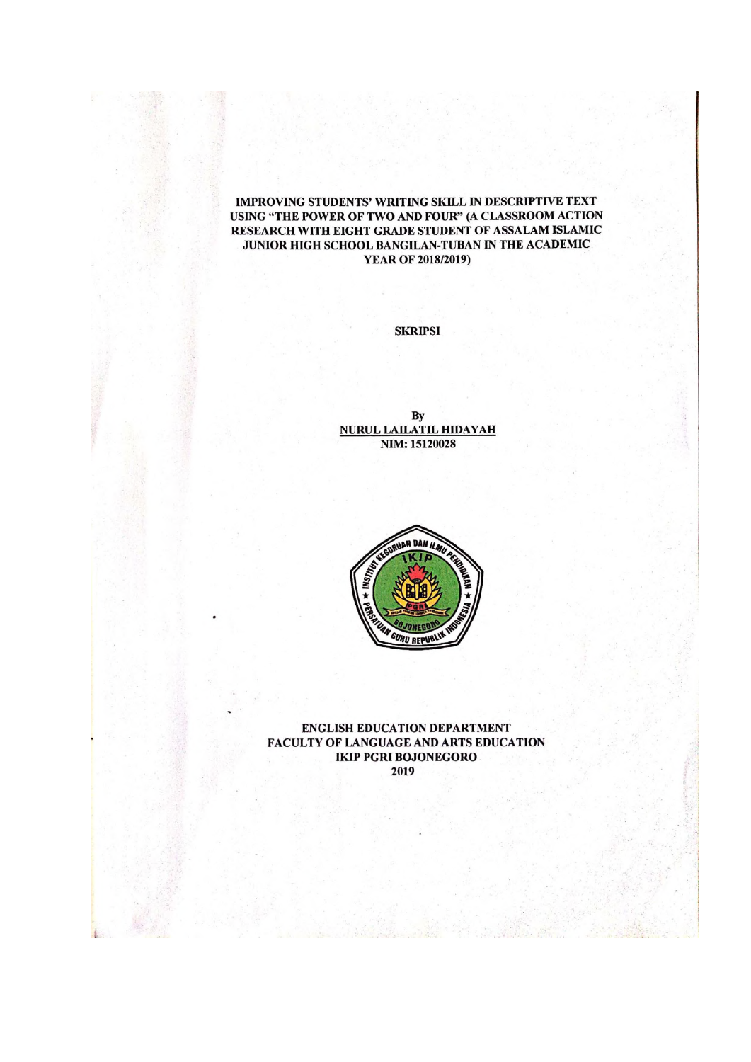#### IMPROVING STUDENTS' WRITING SKILL IN DESCRIPTIVE TEXT USING "THE POWER OF TWO AND FOUR" (A CLASSROOM ACTION RESEARCH WITH EIGHT GRADE STUDENT OF ASSALAM ISLAMIC JUNIOR HIGH SCHOOL BANGILAN-TUBAN IN THE ACADEMIC **YEAR OF 2018/2019)**

**SKRIPSI** 

By **NURUL LAILATIL HIDAYAH** NIM: 15120028



**ENGLISH EDUCATION DEPARTMENT** FACULTY OF LANGUAGE AND ARTS EDUCATION **IKIP PGRI BOJONEGORO** 2019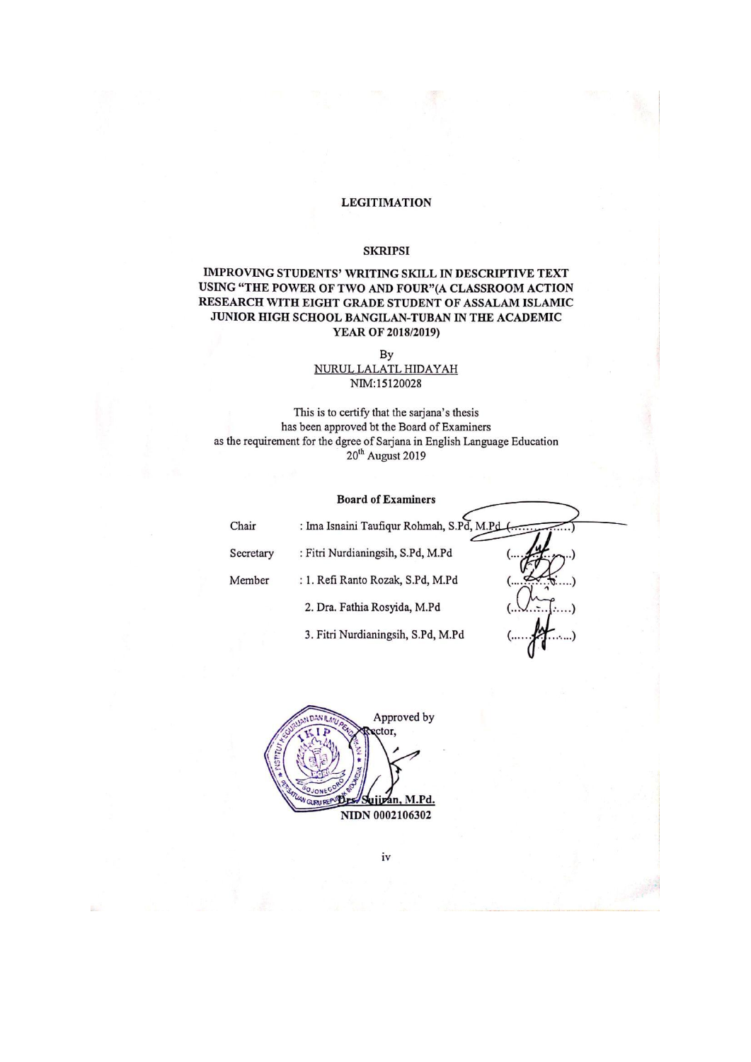### **LEGITIMATION**

#### **SKRIPSI**

### IMPROVING STUDENTS' WRITING SKILL IN DESCRIPTIVE TEXT USING "THE POWER OF TWO AND FOUR"(A CLASSROOM ACTION RESEARCH WITH EIGHT GRADE STUDENT OF ASSALAM ISLAMIC JUNIOR HIGH SCHOOL BANGILAN-TUBAN IN THE ACADEMIC YEAR OF 2018/2019)

By NURUL LALATL HIDAYAH NIM:15120028

This is to certify that the sarjana's thesis has been approved bt the Board of Examiners as the requirement for the dgree of Sarjana in English Language Education 20<sup>th</sup> August 2019

#### **Board of Examiners**

| Chair     | : Ima Isnaini Taufiqur Rohmah, S.Pd, M.Pd |  |
|-----------|-------------------------------------------|--|
| Secretary | : Fitri Nurdianingsih, S.Pd, M.Pd         |  |
| Member    | : 1. Refi Ranto Rozak, S.Pd, M.Pd         |  |
|           | 2. Dra. Fathia Rosyida, M.Pd              |  |
|           | 3. Fitri Nurdianingsih, S.Pd, M.Pd        |  |
|           |                                           |  |



iv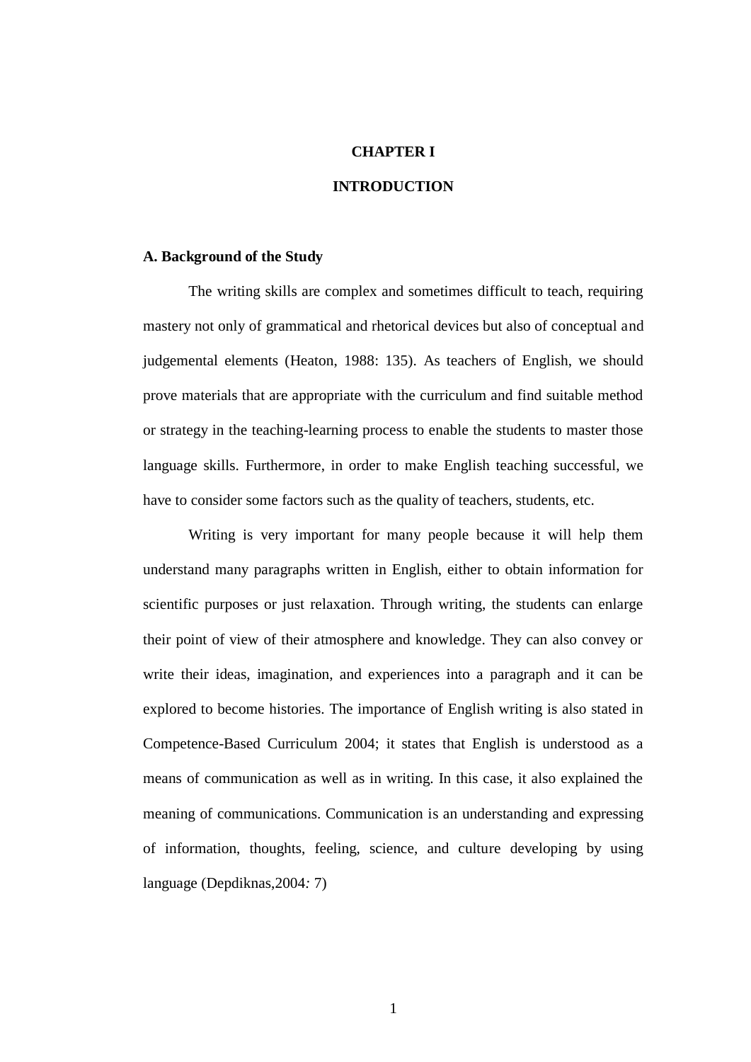# **CHAPTER I**

# **INTRODUCTION**

# **A. Background of the Study**

The writing skills are complex and sometimes difficult to teach, requiring mastery not only of grammatical and rhetorical devices but also of conceptual and judgemental elements (Heaton, 1988: 135). As teachers of English, we should prove materials that are appropriate with the curriculum and find suitable method or strategy in the teaching-learning process to enable the students to master those language skills. Furthermore, in order to make English teaching successful, we have to consider some factors such as the quality of teachers, students, etc.

Writing is very important for many people because it will help them understand many paragraphs written in English, either to obtain information for scientific purposes or just relaxation. Through writing, the students can enlarge their point of view of their atmosphere and knowledge. They can also convey or write their ideas, imagination, and experiences into a paragraph and it can be explored to become histories. The importance of English writing is also stated in Competence-Based Curriculum 2004; it states that English is understood as a means of communication as well as in writing. In this case, it also explained the meaning of communications. Communication is an understanding and expressing of information, thoughts, feeling, science, and culture developing by using language (Depdiknas,2004*:* 7)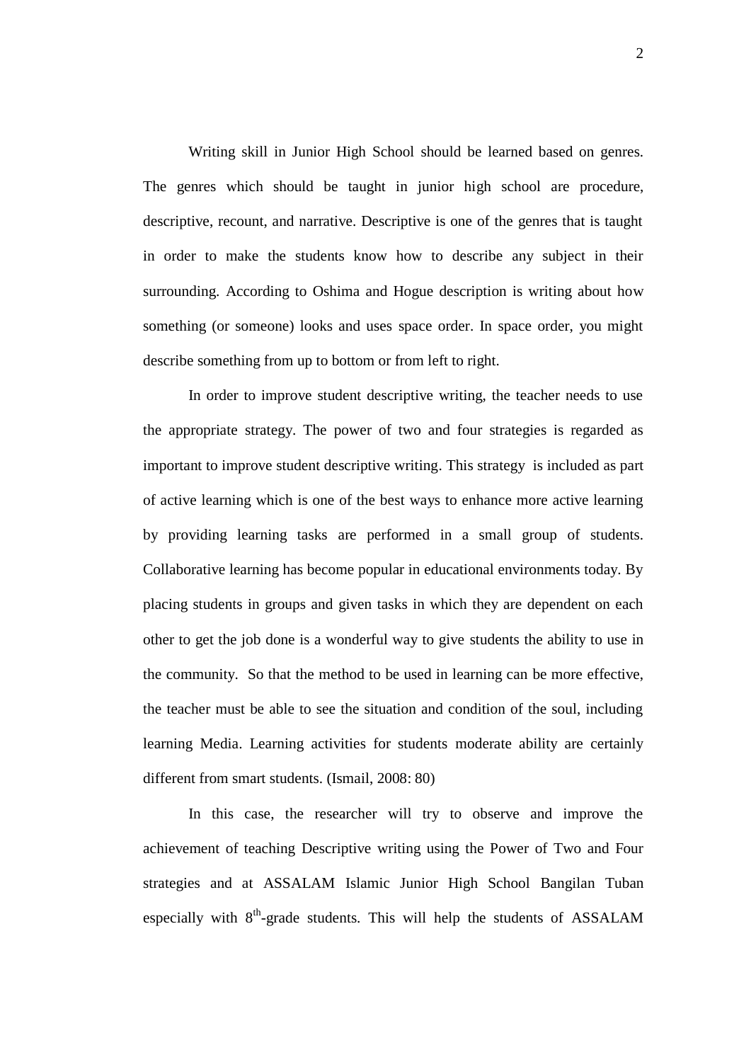Writing skill in Junior High School should be learned based on genres. The genres which should be taught in junior high school are procedure, descriptive, recount, and narrative. Descriptive is one of the genres that is taught in order to make the students know how to describe any subject in their surrounding. According to Oshima and Hogue description is writing about how something (or someone) looks and uses space order. In space order, you might describe something from up to bottom or from left to right.

In order to improve student descriptive writing, the teacher needs to use the appropriate strategy. The power of two and four strategies is regarded as important to improve student descriptive writing. This strategy is included as part of active learning which is one of the best ways to enhance more active learning by providing learning tasks are performed in a small group of students. Collaborative learning has become popular in educational environments today. By placing students in groups and given tasks in which they are dependent on each other to get the job done is a wonderful way to give students the ability to use in the community. So that the method to be used in learning can be more effective, the teacher must be able to see the situation and condition of the soul, including learning Media. Learning activities for students moderate ability are certainly different from smart students. (Ismail, 2008: 80)

In this case, the researcher will try to observe and improve the achievement of teaching Descriptive writing using the Power of Two and Four strategies and at ASSALAM Islamic Junior High School Bangilan Tuban especially with 8<sup>th</sup>-grade students. This will help the students of ASSALAM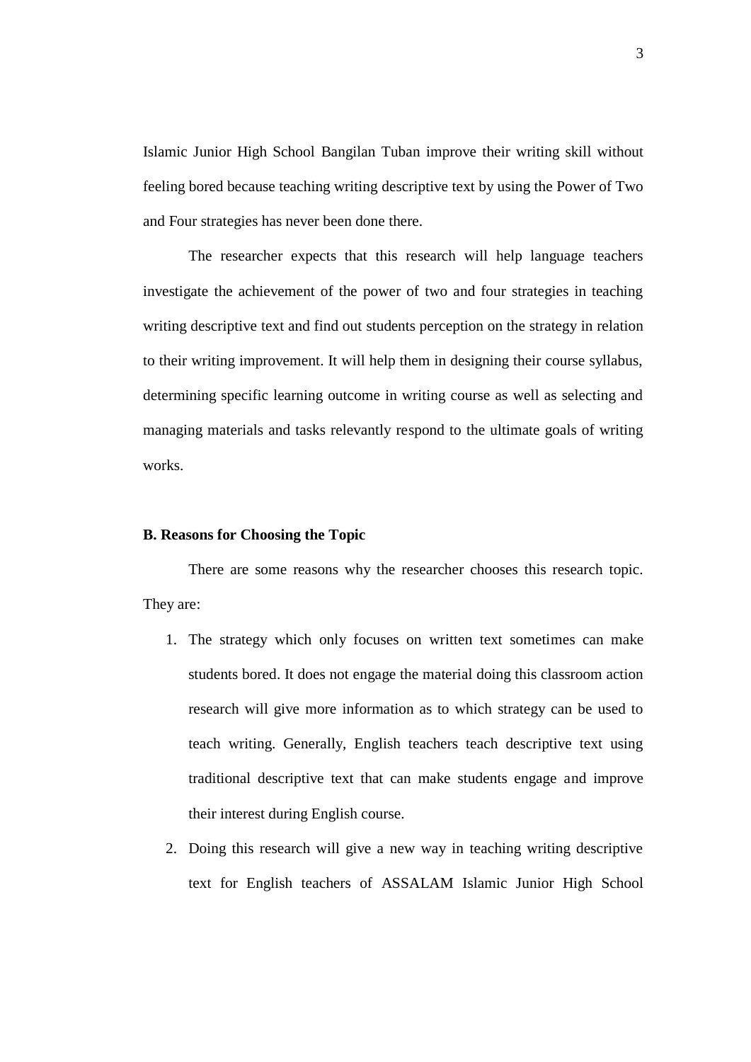Islamic Junior High School Bangilan Tuban improve their writing skill without feeling bored because teaching writing descriptive text by using the Power of Two and Four strategies has never been done there.

The researcher expects that this research will help language teachers investigate the achievement of the power of two and four strategies in teaching writing descriptive text and find out students perception on the strategy in relation to their writing improvement. It will help them in designing their course syllabus, determining specific learning outcome in writing course as well as selecting and managing materials and tasks relevantly respond to the ultimate goals of writing works.

### **B. Reasons for Choosing the Topic**

There are some reasons why the researcher chooses this research topic. They are:

- 1. The strategy which only focuses on written text sometimes can make students bored. It does not engage the material doing this classroom action research will give more information as to which strategy can be used to teach writing. Generally, English teachers teach descriptive text using traditional descriptive text that can make students engage and improve their interest during English course.
- 2. Doing this research will give a new way in teaching writing descriptive text for English teachers of ASSALAM Islamic Junior High School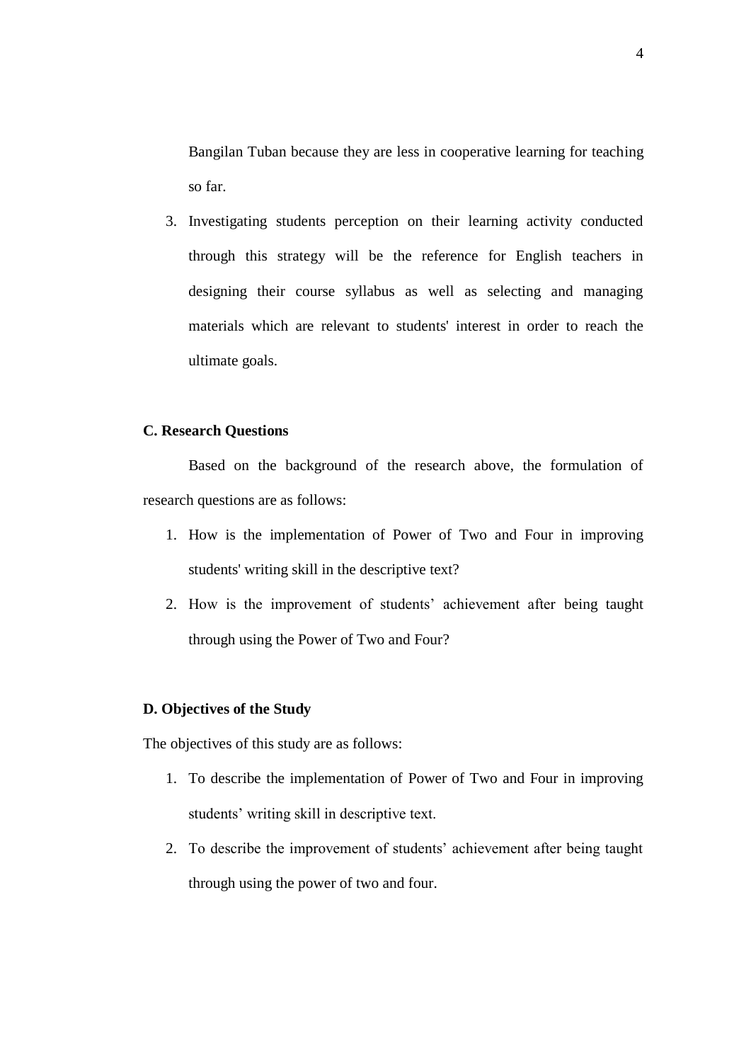Bangilan Tuban because they are less in cooperative learning for teaching so far.

3. Investigating students perception on their learning activity conducted through this strategy will be the reference for English teachers in designing their course syllabus as well as selecting and managing materials which are relevant to students' interest in order to reach the ultimate goals.

# **C. Research Questions**

Based on the background of the research above, the formulation of research questions are as follows:

- 1. How is the implementation of Power of Two and Four in improving students' writing skill in the descriptive text?
- 2. How is the improvement of students' achievement after being taught through using the Power of Two and Four?

# **D. Objectives of the Study**

The objectives of this study are as follows:

- 1. To describe the implementation of Power of Two and Four in improving students' writing skill in descriptive text.
- 2. To describe the improvement of students' achievement after being taught through using the power of two and four.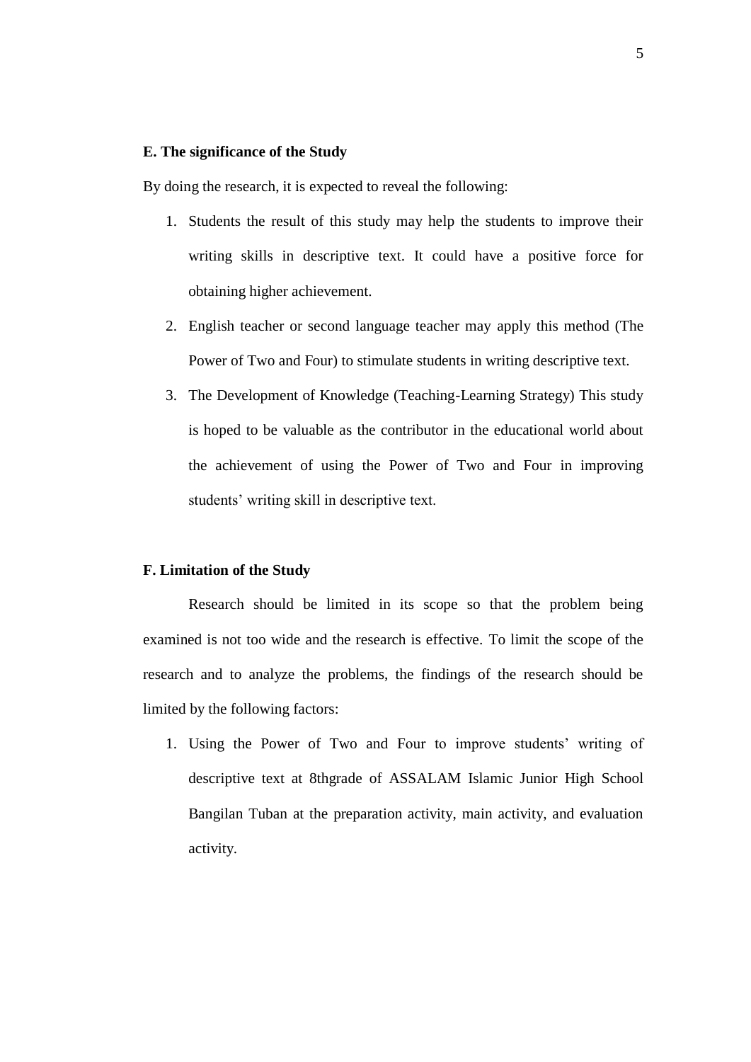# **E. The significance of the Study**

By doing the research, it is expected to reveal the following:

- 1. Students the result of this study may help the students to improve their writing skills in descriptive text. It could have a positive force for obtaining higher achievement.
- 2. English teacher or second language teacher may apply this method (The Power of Two and Four) to stimulate students in writing descriptive text.
- 3. The Development of Knowledge (Teaching-Learning Strategy) This study is hoped to be valuable as the contributor in the educational world about the achievement of using the Power of Two and Four in improving students' writing skill in descriptive text.

# **F. Limitation of the Study**

Research should be limited in its scope so that the problem being examined is not too wide and the research is effective. To limit the scope of the research and to analyze the problems, the findings of the research should be limited by the following factors:

1. Using the Power of Two and Four to improve students' writing of descriptive text at 8thgrade of ASSALAM Islamic Junior High School Bangilan Tuban at the preparation activity, main activity, and evaluation activity.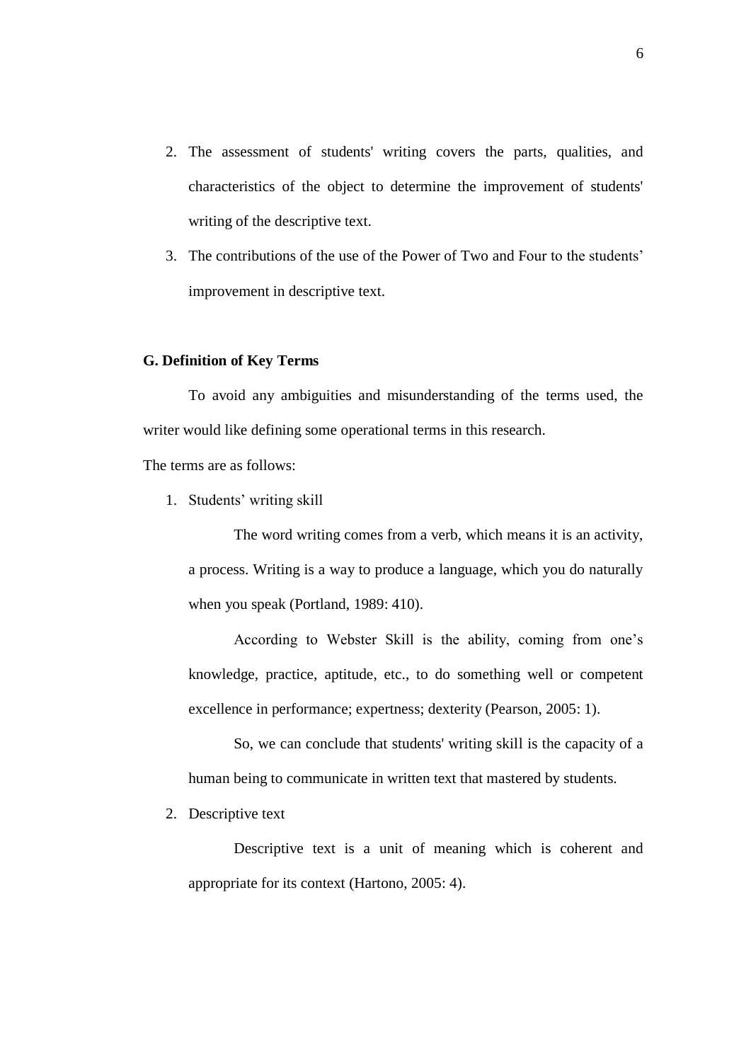- 2. The assessment of students' writing covers the parts, qualities, and characteristics of the object to determine the improvement of students' writing of the descriptive text.
- 3. The contributions of the use of the Power of Two and Four to the students' improvement in descriptive text.

# **G. Definition of Key Terms**

To avoid any ambiguities and misunderstanding of the terms used, the writer would like defining some operational terms in this research.

The terms are as follows:

1. Students' writing skill

The word writing comes from a verb, which means it is an activity, a process. Writing is a way to produce a language, which you do naturally when you speak (Portland, 1989: 410).

According to Webster Skill is the ability, coming from one's knowledge, practice, aptitude, etc., to do something well or competent excellence in performance; expertness; dexterity (Pearson, 2005: 1).

So, we can conclude that students' writing skill is the capacity of a human being to communicate in written text that mastered by students.

2. Descriptive text

Descriptive text is a unit of meaning which is coherent and appropriate for its context (Hartono, 2005: 4).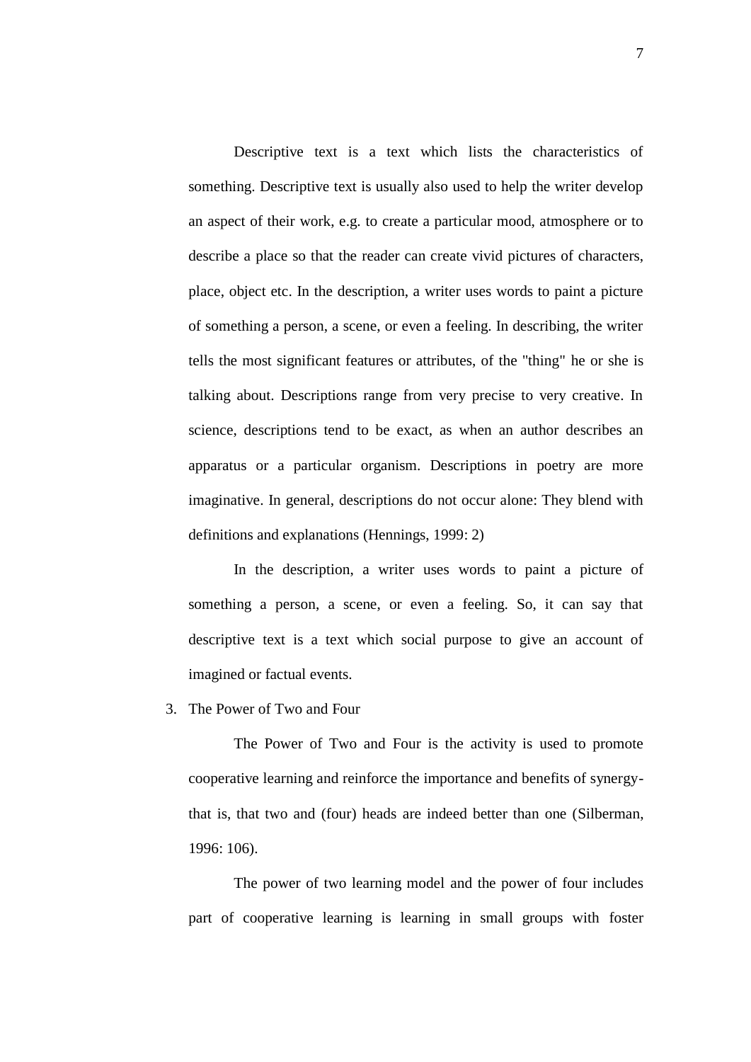Descriptive text is a text which lists the characteristics of something. Descriptive text is usually also used to help the writer develop an aspect of their work, e.g. to create a particular mood, atmosphere or to describe a place so that the reader can create vivid pictures of characters, place, object etc. In the description, a writer uses words to paint a picture of something a person, a scene, or even a feeling. In describing, the writer tells the most significant features or attributes, of the "thing" he or she is talking about. Descriptions range from very precise to very creative. In science, descriptions tend to be exact, as when an author describes an apparatus or a particular organism. Descriptions in poetry are more imaginative. In general, descriptions do not occur alone: They blend with definitions and explanations (Hennings, 1999: 2)

In the description, a writer uses words to paint a picture of something a person, a scene, or even a feeling. So, it can say that descriptive text is a text which social purpose to give an account of imagined or factual events.

# 3. The Power of Two and Four

The Power of Two and Four is the activity is used to promote cooperative learning and reinforce the importance and benefits of synergythat is, that two and (four) heads are indeed better than one (Silberman, 1996: 106).

The power of two learning model and the power of four includes part of cooperative learning is learning in small groups with foster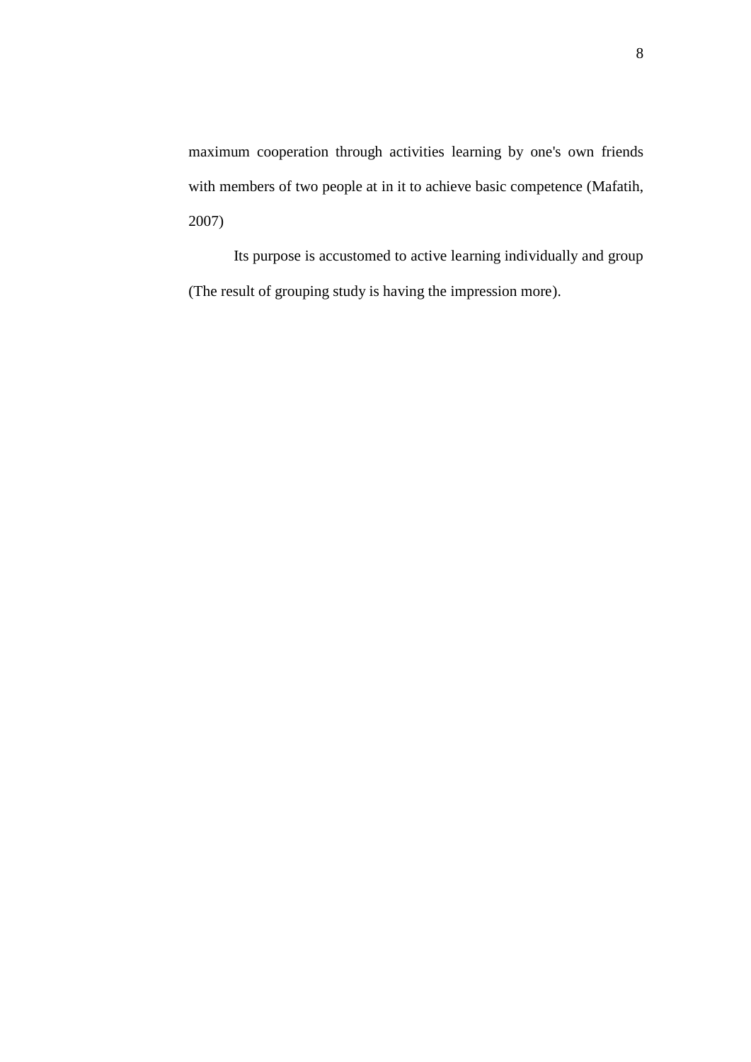maximum cooperation through activities learning by one's own friends with members of two people at in it to achieve basic competence (Mafatih, 2007)

Its purpose is accustomed to active learning individually and group (The result of grouping study is having the impression more).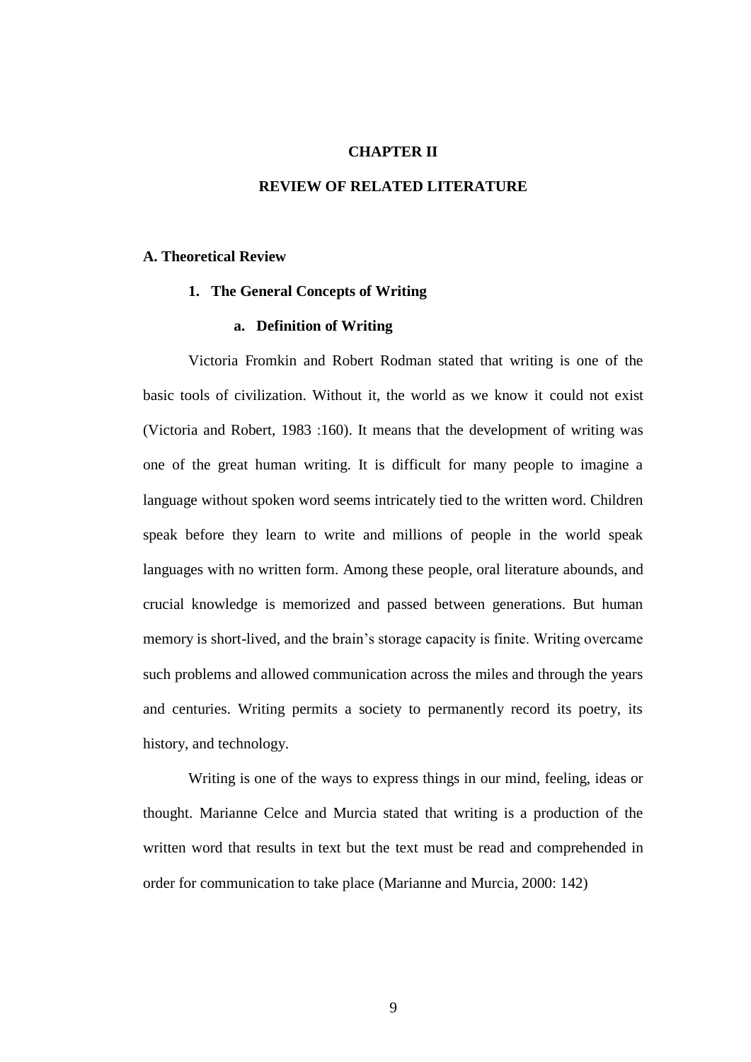# **CHAPTER II**

# **REVIEW OF RELATED LITERATURE**

# **A. Theoretical Review**

# **1. The General Concepts of Writing**

# **a. Definition of Writing**

Victoria Fromkin and Robert Rodman stated that writing is one of the basic tools of civilization. Without it, the world as we know it could not exist (Victoria and Robert, 1983 :160). It means that the development of writing was one of the great human writing. It is difficult for many people to imagine a language without spoken word seems intricately tied to the written word. Children speak before they learn to write and millions of people in the world speak languages with no written form. Among these people, oral literature abounds, and crucial knowledge is memorized and passed between generations. But human memory is short-lived, and the brain's storage capacity is finite. Writing overcame such problems and allowed communication across the miles and through the years and centuries. Writing permits a society to permanently record its poetry, its history, and technology.

Writing is one of the ways to express things in our mind, feeling, ideas or thought. Marianne Celce and Murcia stated that writing is a production of the written word that results in text but the text must be read and comprehended in order for communication to take place (Marianne and Murcia, 2000: 142)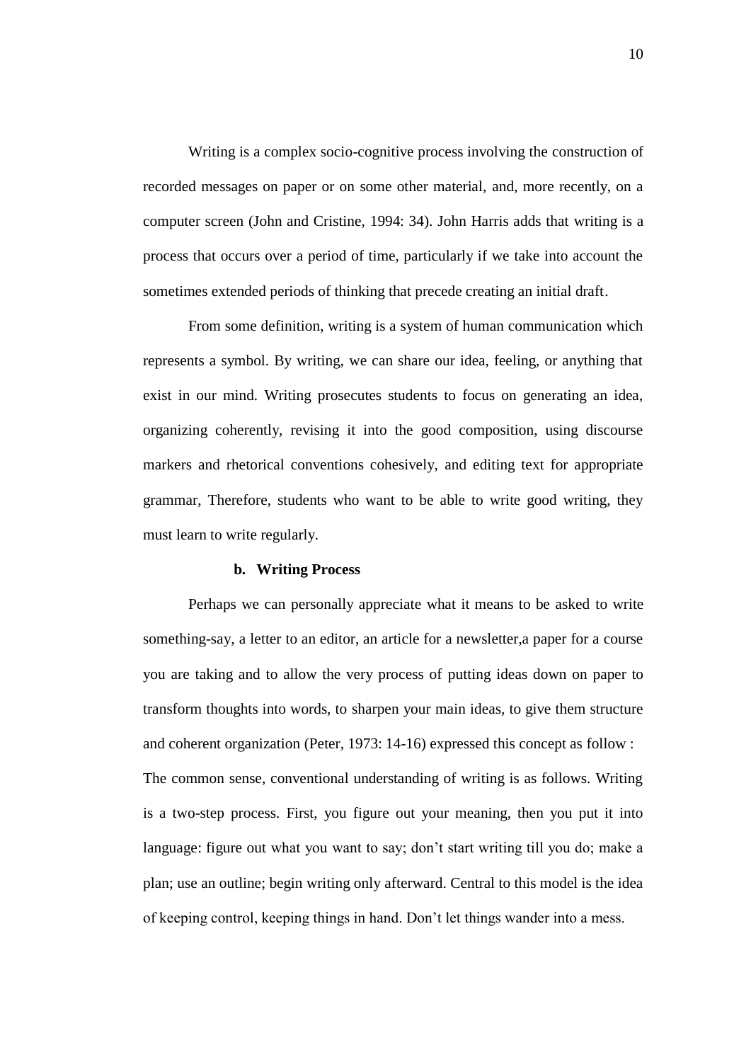Writing is a complex socio-cognitive process involving the construction of recorded messages on paper or on some other material, and, more recently, on a computer screen (John and Cristine, 1994: 34). John Harris adds that writing is a process that occurs over a period of time, particularly if we take into account the sometimes extended periods of thinking that precede creating an initial draft.

From some definition, writing is a system of human communication which represents a symbol. By writing, we can share our idea, feeling, or anything that exist in our mind. Writing prosecutes students to focus on generating an idea, organizing coherently, revising it into the good composition, using discourse markers and rhetorical conventions cohesively, and editing text for appropriate grammar, Therefore, students who want to be able to write good writing, they must learn to write regularly.

#### **b. Writing Process**

Perhaps we can personally appreciate what it means to be asked to write something-say, a letter to an editor, an article for a newsletter,a paper for a course you are taking and to allow the very process of putting ideas down on paper to transform thoughts into words, to sharpen your main ideas, to give them structure and coherent organization (Peter, 1973: 14-16) expressed this concept as follow : The common sense, conventional understanding of writing is as follows. Writing is a two-step process. First, you figure out your meaning, then you put it into language: figure out what you want to say; don't start writing till you do; make a plan; use an outline; begin writing only afterward. Central to this model is the idea of keeping control, keeping things in hand. Don't let things wander into a mess.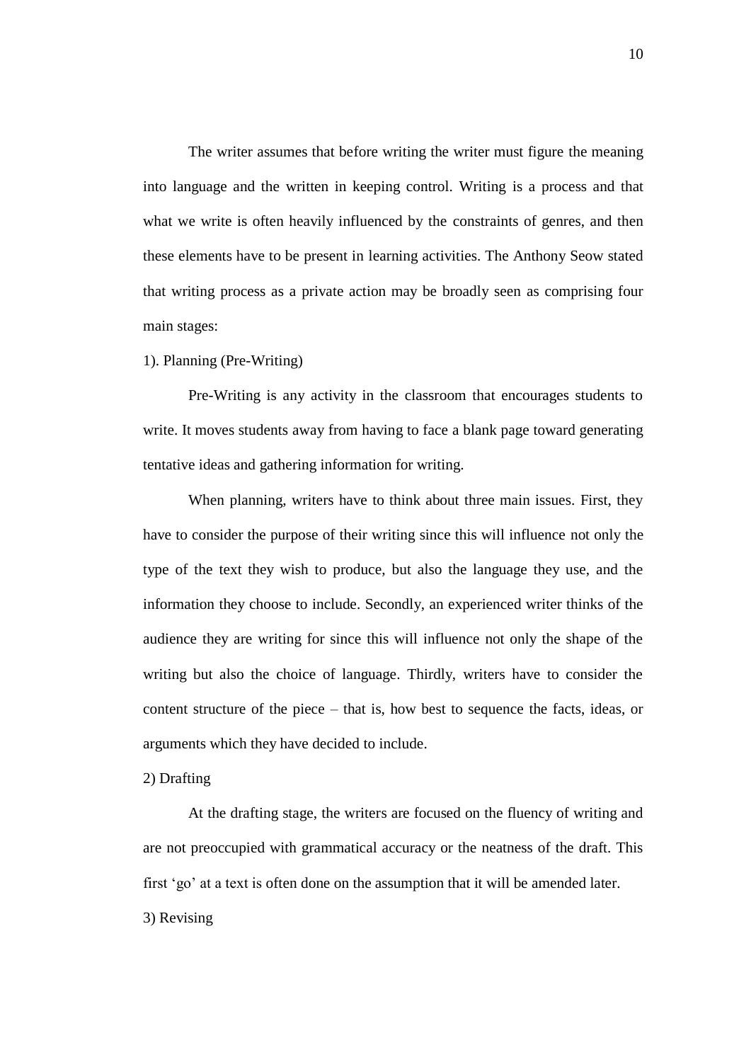The writer assumes that before writing the writer must figure the meaning into language and the written in keeping control. Writing is a process and that what we write is often heavily influenced by the constraints of genres, and then these elements have to be present in learning activities. The Anthony Seow stated that writing process as a private action may be broadly seen as comprising four main stages:

# 1). Planning (Pre-Writing)

Pre-Writing is any activity in the classroom that encourages students to write. It moves students away from having to face a blank page toward generating tentative ideas and gathering information for writing.

When planning, writers have to think about three main issues. First, they have to consider the purpose of their writing since this will influence not only the type of the text they wish to produce, but also the language they use, and the information they choose to include. Secondly, an experienced writer thinks of the audience they are writing for since this will influence not only the shape of the writing but also the choice of language. Thirdly, writers have to consider the content structure of the piece – that is, how best to sequence the facts, ideas, or arguments which they have decided to include.

# 2) Drafting

At the drafting stage, the writers are focused on the fluency of writing and are not preoccupied with grammatical accuracy or the neatness of the draft. This first 'go' at a text is often done on the assumption that it will be amended later. 3) Revising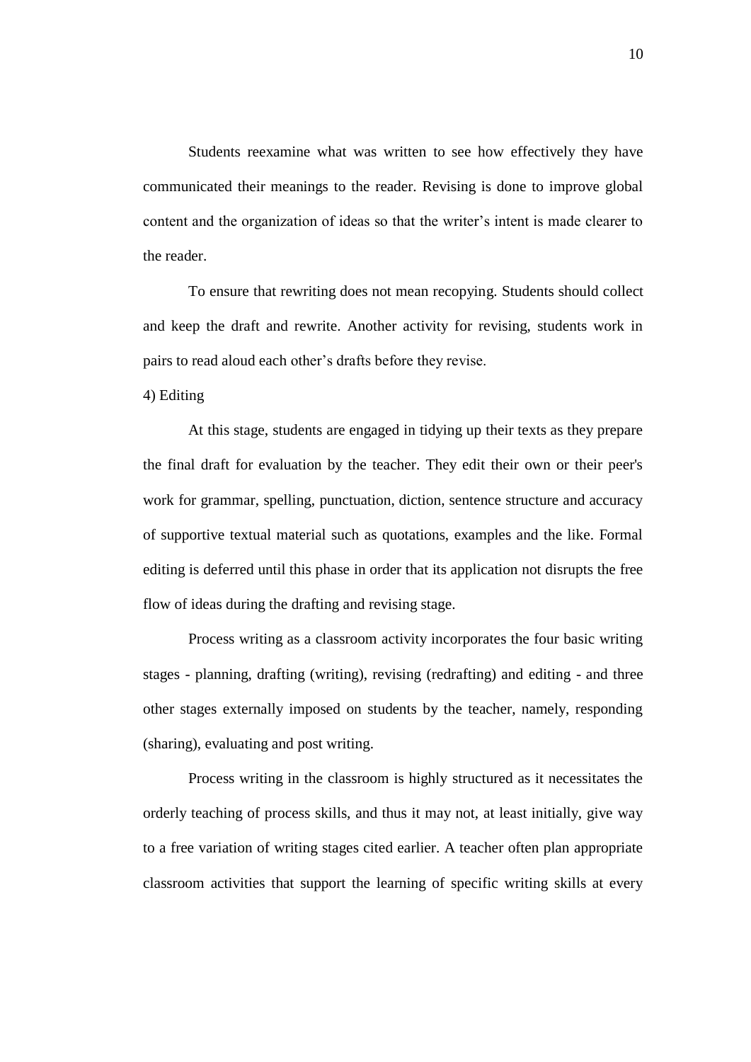Students reexamine what was written to see how effectively they have communicated their meanings to the reader. Revising is done to improve global content and the organization of ideas so that the writer's intent is made clearer to the reader.

To ensure that rewriting does not mean recopying. Students should collect and keep the draft and rewrite. Another activity for revising, students work in pairs to read aloud each other's drafts before they revise.

4) Editing

At this stage, students are engaged in tidying up their texts as they prepare the final draft for evaluation by the teacher. They edit their own or their peer's work for grammar, spelling, punctuation, diction, sentence structure and accuracy of supportive textual material such as quotations, examples and the like. Formal editing is deferred until this phase in order that its application not disrupts the free flow of ideas during the drafting and revising stage.

Process writing as a classroom activity incorporates the four basic writing stages - planning, drafting (writing), revising (redrafting) and editing - and three other stages externally imposed on students by the teacher, namely, responding (sharing), evaluating and post writing.

Process writing in the classroom is highly structured as it necessitates the orderly teaching of process skills, and thus it may not, at least initially, give way to a free variation of writing stages cited earlier. A teacher often plan appropriate classroom activities that support the learning of specific writing skills at every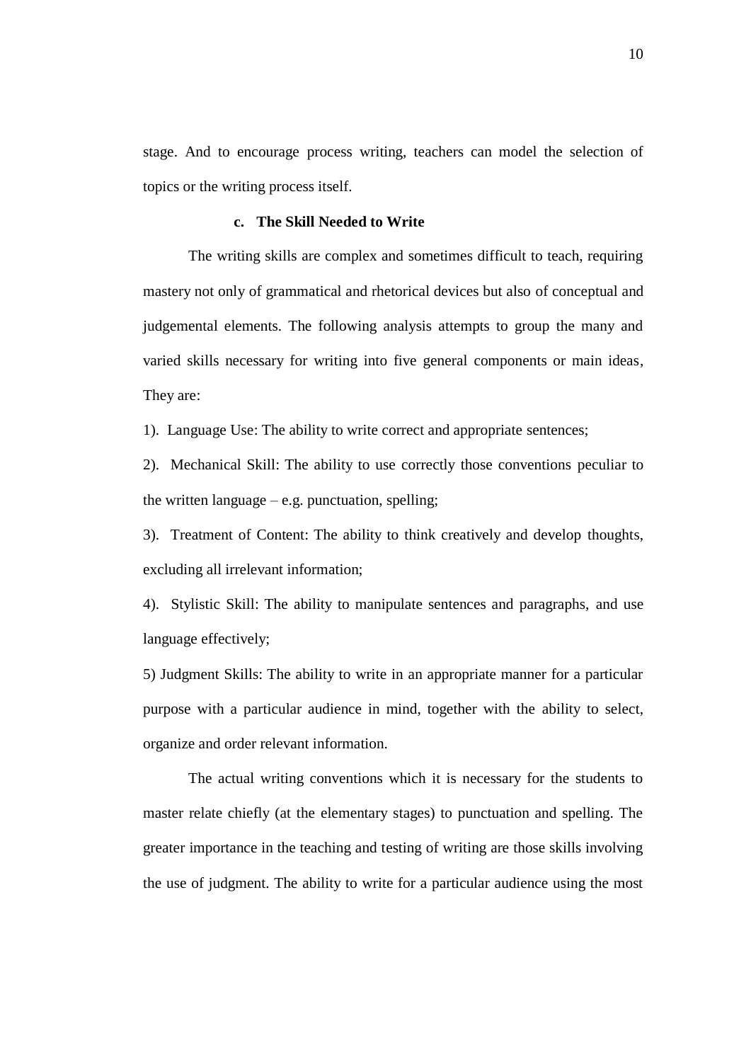stage. And to encourage process writing, teachers can model the selection of topics or the writing process itself.

# **c. The Skill Needed to Write**

The writing skills are complex and sometimes difficult to teach, requiring mastery not only of grammatical and rhetorical devices but also of conceptual and judgemental elements. The following analysis attempts to group the many and varied skills necessary for writing into five general components or main ideas, They are:

1). Language Use: The ability to write correct and appropriate sentences;

2). Mechanical Skill: The ability to use correctly those conventions peculiar to the written language  $-e.g.$  punctuation, spelling;

3). Treatment of Content: The ability to think creatively and develop thoughts, excluding all irrelevant information;

4). Stylistic Skill: The ability to manipulate sentences and paragraphs, and use language effectively;

5) Judgment Skills: The ability to write in an appropriate manner for a particular purpose with a particular audience in mind, together with the ability to select, organize and order relevant information.

The actual writing conventions which it is necessary for the students to master relate chiefly (at the elementary stages) to punctuation and spelling. The greater importance in the teaching and testing of writing are those skills involving the use of judgment. The ability to write for a particular audience using the most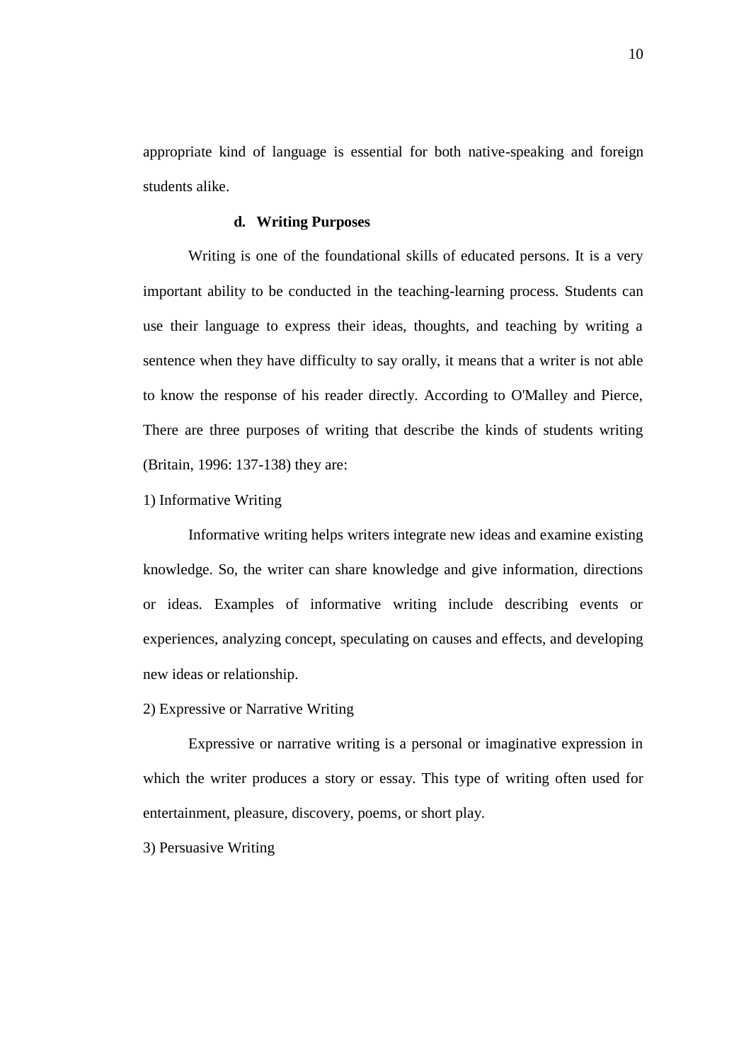appropriate kind of language is essential for both native-speaking and foreign students alike.

# **d. Writing Purposes**

Writing is one of the foundational skills of educated persons. It is a very important ability to be conducted in the teaching-learning process. Students can use their language to express their ideas, thoughts, and teaching by writing a sentence when they have difficulty to say orally, it means that a writer is not able to know the response of his reader directly. According to O'Malley and Pierce, There are three purposes of writing that describe the kinds of students writing (Britain, 1996: 137-138) they are:

### 1) Informative Writing

Informative writing helps writers integrate new ideas and examine existing knowledge. So, the writer can share knowledge and give information, directions or ideas. Examples of informative writing include describing events or experiences, analyzing concept, speculating on causes and effects, and developing new ideas or relationship.

# 2) Expressive or Narrative Writing

Expressive or narrative writing is a personal or imaginative expression in which the writer produces a story or essay. This type of writing often used for entertainment, pleasure, discovery, poems, or short play.

3) Persuasive Writing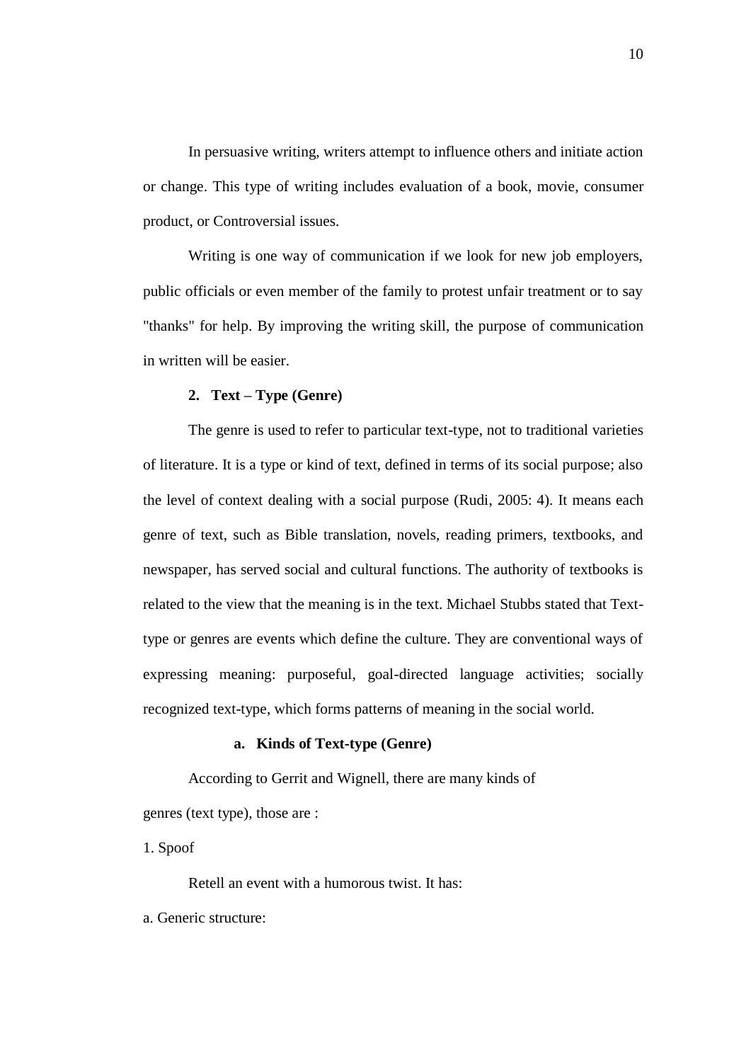In persuasive writing, writers attempt to influence others and initiate action or change. This type of writing includes evaluation of a book, movie, consumer product, or Controversial issues.

Writing is one way of communication if we look for new job employers, public officials or even member of the family to protest unfair treatment or to say "thanks" for help. By improving the writing skill, the purpose of communication in written will be easier.

# **2. Text – Type (Genre)**

The genre is used to refer to particular text-type, not to traditional varieties of literature. It is a type or kind of text, defined in terms of its social purpose; also the level of context dealing with a social purpose (Rudi, 2005: 4). It means each genre of text, such as Bible translation, novels, reading primers, textbooks, and newspaper, has served social and cultural functions. The authority of textbooks is related to the view that the meaning is in the text. Michael Stubbs stated that Texttype or genres are events which define the culture. They are conventional ways of expressing meaning: purposeful, goal-directed language activities; socially recognized text-type, which forms patterns of meaning in the social world.

# **a. Kinds of Text-type (Genre)**

According to Gerrit and Wignell, there are many kinds of genres (text type), those are :

1. Spoof

Retell an event with a humorous twist. It has:

a. Generic structure: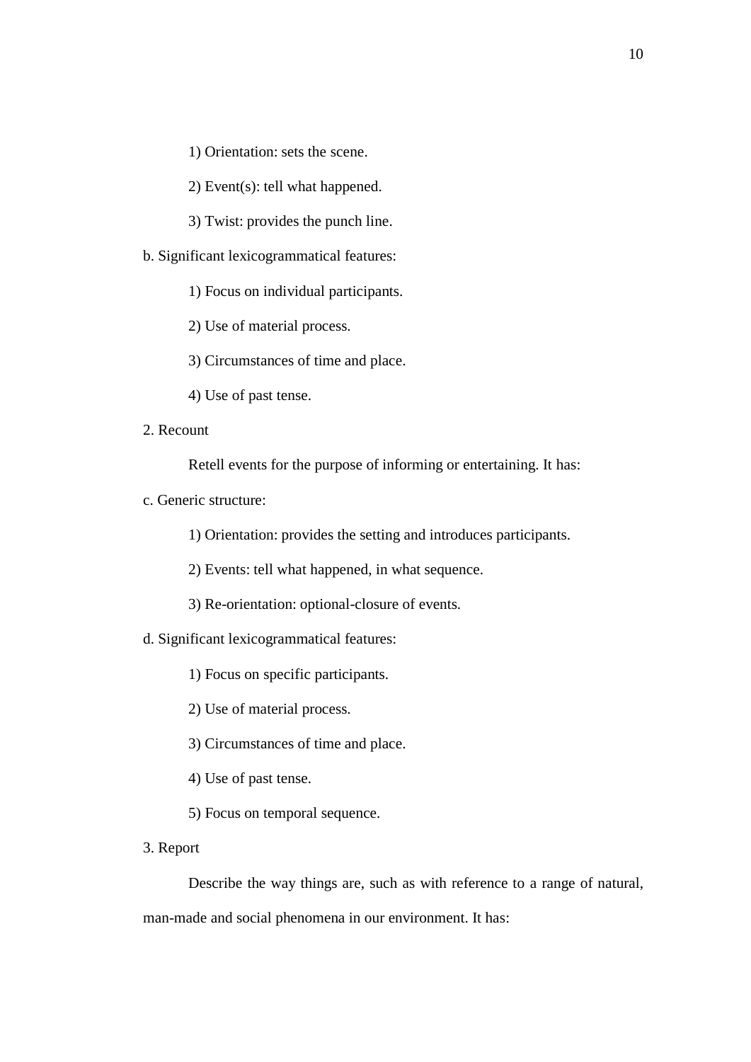1) Orientation: sets the scene.

2) Event(s): tell what happened.

3) Twist: provides the punch line.

b. Significant lexicogrammatical features:

1) Focus on individual participants.

2) Use of material process.

3) Circumstances of time and place.

4) Use of past tense.

2. Recount

Retell events for the purpose of informing or entertaining. It has:

c. Generic structure:

1) Orientation: provides the setting and introduces participants.

2) Events: tell what happened, in what sequence.

3) Re-orientation: optional-closure of events.

d. Significant lexicogrammatical features:

1) Focus on specific participants.

2) Use of material process.

3) Circumstances of time and place.

4) Use of past tense.

5) Focus on temporal sequence.

3. Report

Describe the way things are, such as with reference to a range of natural, man-made and social phenomena in our environment. It has: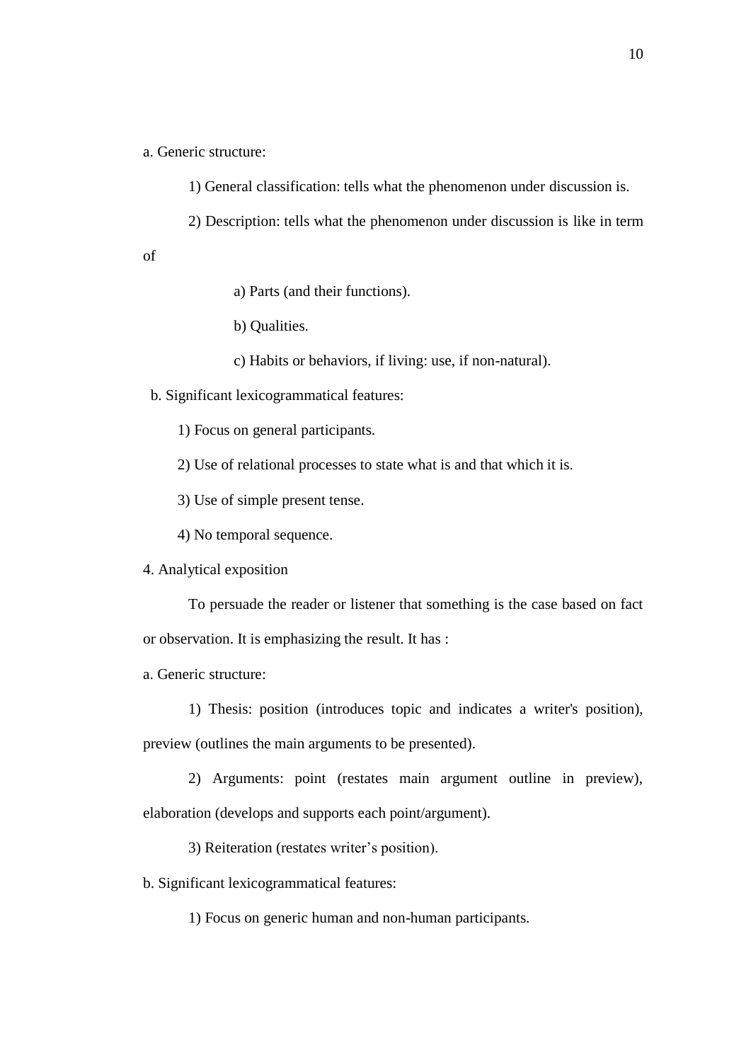a. Generic structure:

1) General classification: tells what the phenomenon under discussion is.

2) Description: tells what the phenomenon under discussion is like in term

of

a) Parts (and their functions).

b) Qualities.

c) Habits or behaviors, if living: use, if non-natural).

b. Significant lexicogrammatical features:

1) Focus on general participants.

2) Use of relational processes to state what is and that which it is.

3) Use of simple present tense.

4) No temporal sequence.

4. Analytical exposition

To persuade the reader or listener that something is the case based on fact or observation. It is emphasizing the result. It has :

a. Generic structure:

1) Thesis: position (introduces topic and indicates a writer's position),

preview (outlines the main arguments to be presented).

2) Arguments: point (restates main argument outline in preview), elaboration (develops and supports each point/argument).

3) Reiteration (restates writer's position).

b. Significant lexicogrammatical features:

1) Focus on generic human and non-human participants.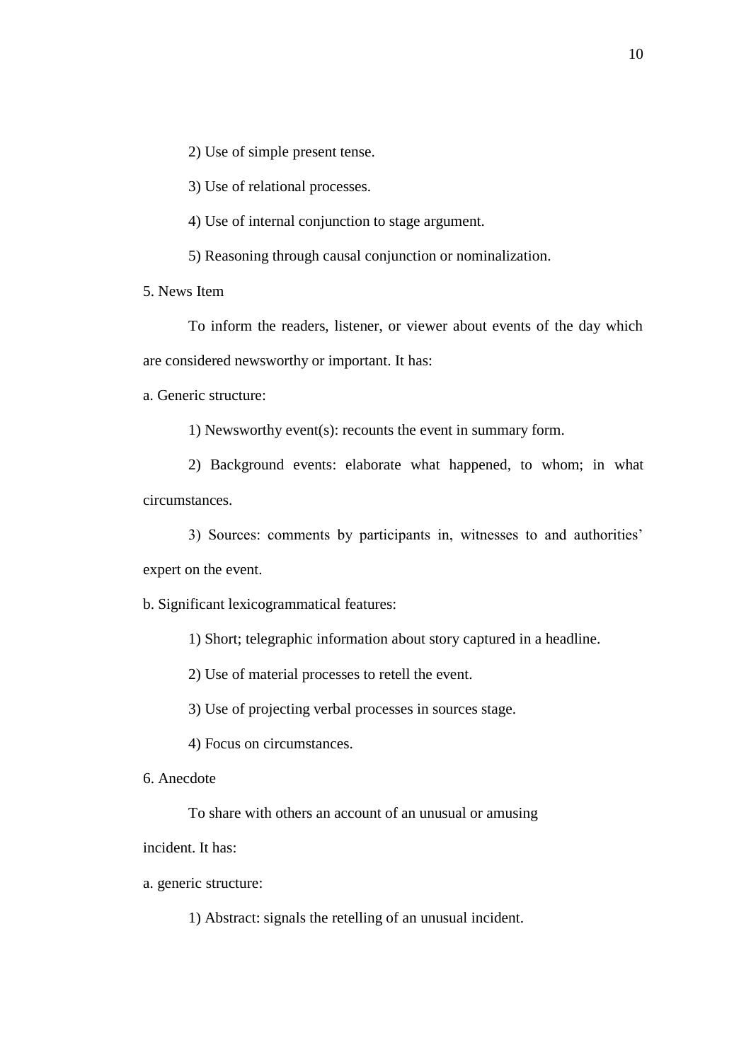2) Use of simple present tense.

3) Use of relational processes.

4) Use of internal conjunction to stage argument.

5) Reasoning through causal conjunction or nominalization.

5. News Item

To inform the readers, listener, or viewer about events of the day which are considered newsworthy or important. It has:

a. Generic structure:

1) Newsworthy event(s): recounts the event in summary form.

2) Background events: elaborate what happened, to whom; in what circumstances.

3) Sources: comments by participants in, witnesses to and authorities'

expert on the event.

b. Significant lexicogrammatical features:

1) Short; telegraphic information about story captured in a headline.

2) Use of material processes to retell the event.

3) Use of projecting verbal processes in sources stage.

4) Focus on circumstances.

6. Anecdote

To share with others an account of an unusual or amusing

incident. It has:

a. generic structure:

1) Abstract: signals the retelling of an unusual incident.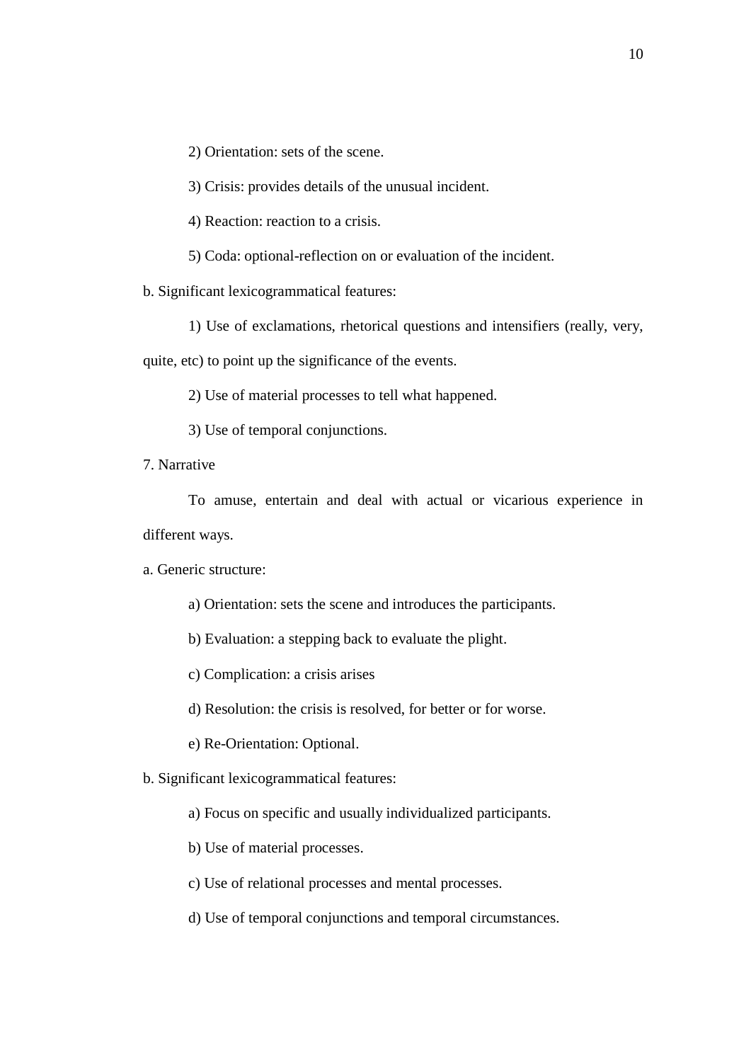2) Orientation: sets of the scene.

3) Crisis: provides details of the unusual incident.

4) Reaction: reaction to a crisis.

5) Coda: optional-reflection on or evaluation of the incident.

b. Significant lexicogrammatical features:

1) Use of exclamations, rhetorical questions and intensifiers (really, very,

quite, etc) to point up the significance of the events.

2) Use of material processes to tell what happened.

3) Use of temporal conjunctions.

7. Narrative

To amuse, entertain and deal with actual or vicarious experience in different ways.

a. Generic structure:

a) Orientation: sets the scene and introduces the participants.

b) Evaluation: a stepping back to evaluate the plight.

c) Complication: a crisis arises

d) Resolution: the crisis is resolved, for better or for worse.

e) Re-Orientation: Optional.

b. Significant lexicogrammatical features:

a) Focus on specific and usually individualized participants.

b) Use of material processes.

c) Use of relational processes and mental processes.

d) Use of temporal conjunctions and temporal circumstances.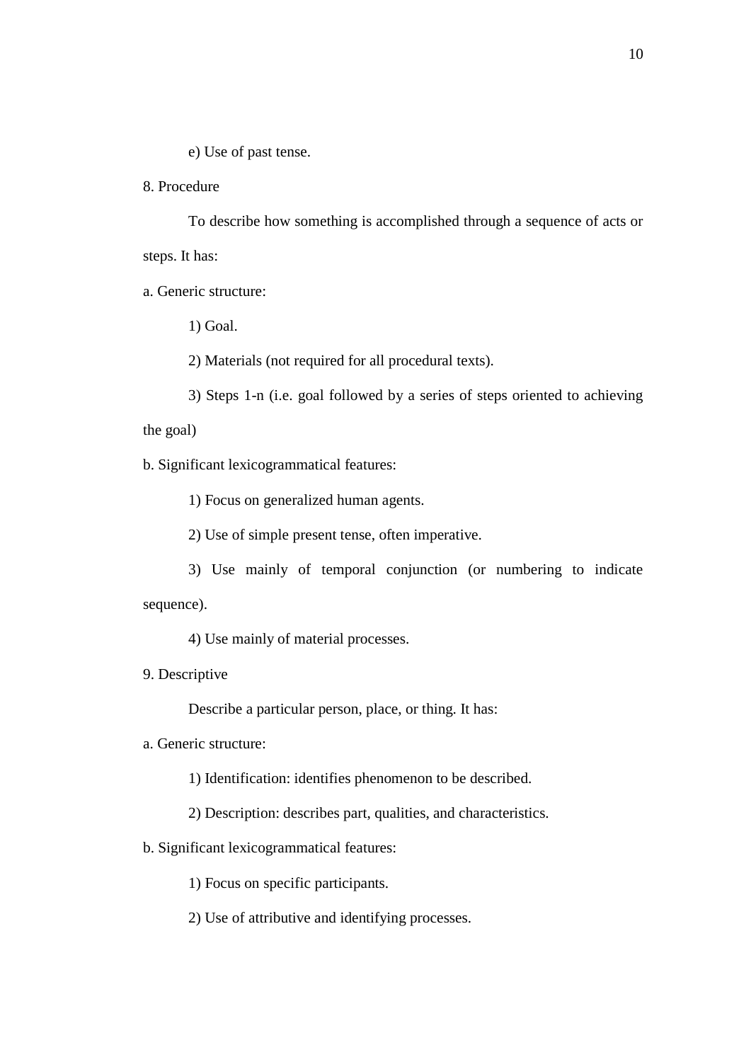e) Use of past tense.

8. Procedure

To describe how something is accomplished through a sequence of acts or steps. It has:

a. Generic structure:

1) Goal.

2) Materials (not required for all procedural texts).

3) Steps 1-n (i.e. goal followed by a series of steps oriented to achieving

the goal)

b. Significant lexicogrammatical features:

1) Focus on generalized human agents.

2) Use of simple present tense, often imperative.

3) Use mainly of temporal conjunction (or numbering to indicate sequence).

4) Use mainly of material processes.

9. Descriptive

Describe a particular person, place, or thing. It has:

a. Generic structure:

1) Identification: identifies phenomenon to be described.

2) Description: describes part, qualities, and characteristics.

b. Significant lexicogrammatical features:

1) Focus on specific participants.

2) Use of attributive and identifying processes.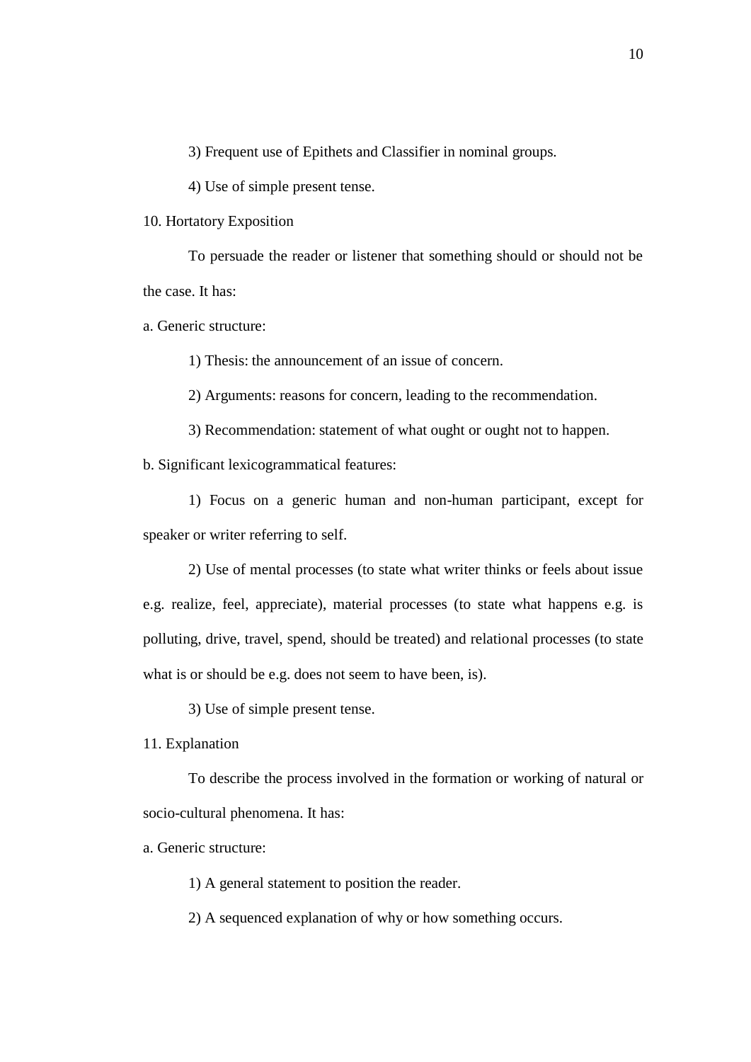3) Frequent use of Epithets and Classifier in nominal groups.

4) Use of simple present tense.

10. Hortatory Exposition

To persuade the reader or listener that something should or should not be the case. It has:

a. Generic structure:

1) Thesis: the announcement of an issue of concern.

2) Arguments: reasons for concern, leading to the recommendation.

3) Recommendation: statement of what ought or ought not to happen.

b. Significant lexicogrammatical features:

1) Focus on a generic human and non-human participant, except for speaker or writer referring to self.

2) Use of mental processes (to state what writer thinks or feels about issue e.g. realize, feel, appreciate), material processes (to state what happens e.g. is polluting, drive, travel, spend, should be treated) and relational processes (to state what is or should be e.g. does not seem to have been, is).

3) Use of simple present tense.

11. Explanation

To describe the process involved in the formation or working of natural or socio-cultural phenomena. It has:

a. Generic structure:

1) A general statement to position the reader.

2) A sequenced explanation of why or how something occurs.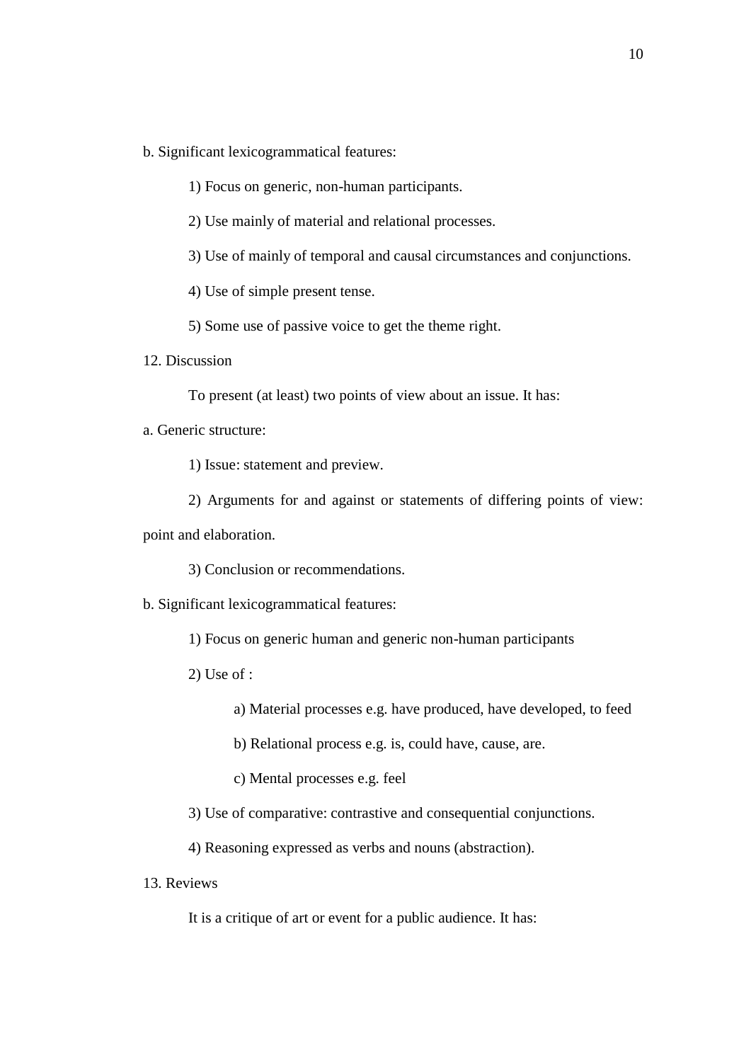- b. Significant lexicogrammatical features:
	- 1) Focus on generic, non-human participants.
	- 2) Use mainly of material and relational processes.
	- 3) Use of mainly of temporal and causal circumstances and conjunctions.
	- 4) Use of simple present tense.
	- 5) Some use of passive voice to get the theme right.
- 12. Discussion
	- To present (at least) two points of view about an issue. It has:
- a. Generic structure:
	- 1) Issue: statement and preview.
	- 2) Arguments for and against or statements of differing points of view:

point and elaboration.

- 3) Conclusion or recommendations.
- b. Significant lexicogrammatical features:
	- 1) Focus on generic human and generic non-human participants
	- 2) Use of :
		- a) Material processes e.g. have produced, have developed, to feed
		- b) Relational process e.g. is, could have, cause, are.
		- c) Mental processes e.g. feel
	- 3) Use of comparative: contrastive and consequential conjunctions.
	- 4) Reasoning expressed as verbs and nouns (abstraction).
- 13. Reviews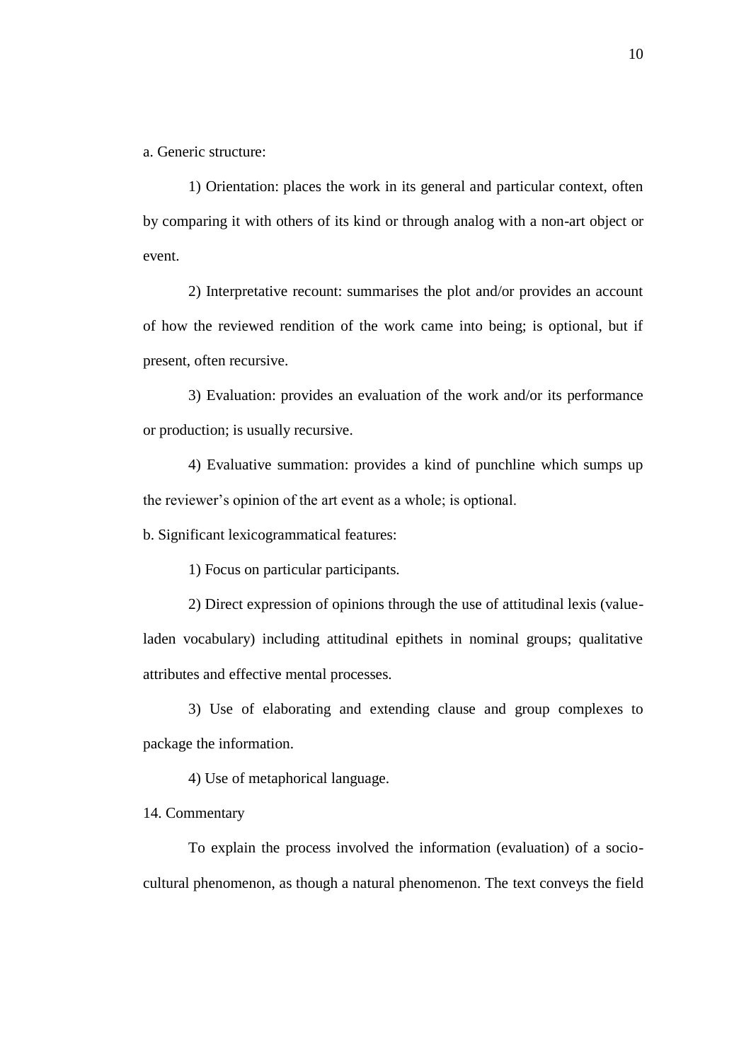a. Generic structure:

1) Orientation: places the work in its general and particular context, often by comparing it with others of its kind or through analog with a non-art object or event.

2) Interpretative recount: summarises the plot and/or provides an account of how the reviewed rendition of the work came into being; is optional, but if present, often recursive.

3) Evaluation: provides an evaluation of the work and/or its performance or production; is usually recursive.

4) Evaluative summation: provides a kind of punchline which sumps up the reviewer's opinion of the art event as a whole; is optional.

b. Significant lexicogrammatical features:

1) Focus on particular participants.

2) Direct expression of opinions through the use of attitudinal lexis (valueladen vocabulary) including attitudinal epithets in nominal groups; qualitative attributes and effective mental processes.

3) Use of elaborating and extending clause and group complexes to package the information.

4) Use of metaphorical language.

14. Commentary

To explain the process involved the information (evaluation) of a sociocultural phenomenon, as though a natural phenomenon. The text conveys the field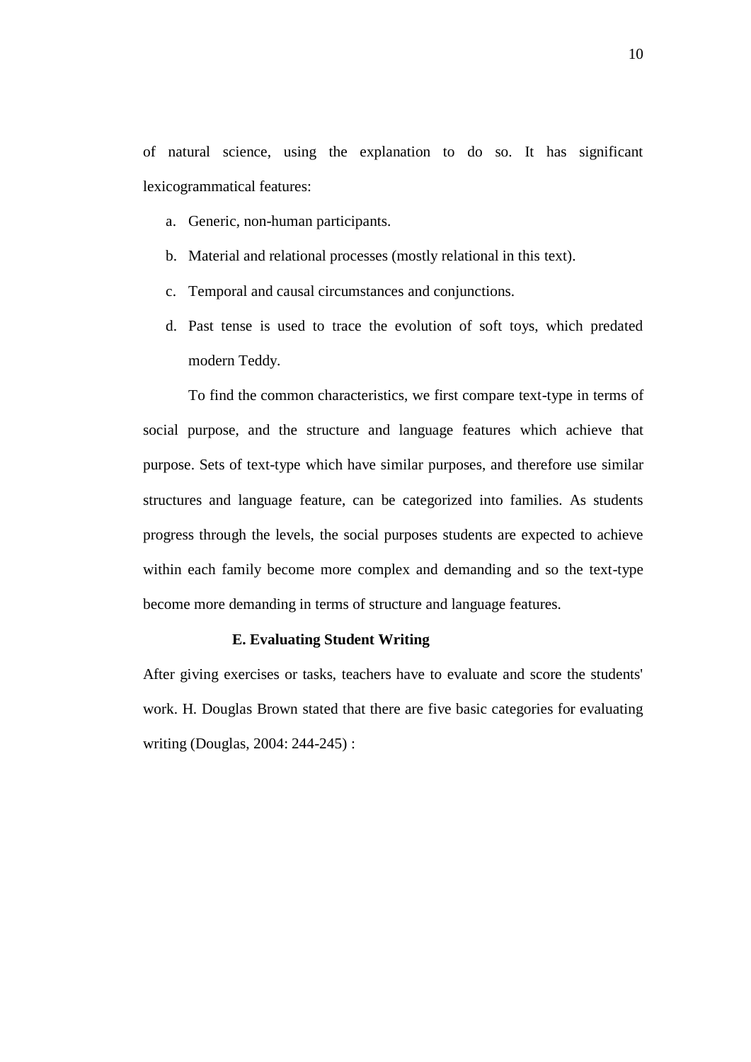of natural science, using the explanation to do so. It has significant lexicogrammatical features:

- a. Generic, non-human participants.
- b. Material and relational processes (mostly relational in this text).
- c. Temporal and causal circumstances and conjunctions.
- d. Past tense is used to trace the evolution of soft toys, which predated modern Teddy.

To find the common characteristics, we first compare text-type in terms of social purpose, and the structure and language features which achieve that purpose. Sets of text-type which have similar purposes, and therefore use similar structures and language feature, can be categorized into families. As students progress through the levels, the social purposes students are expected to achieve within each family become more complex and demanding and so the text-type become more demanding in terms of structure and language features.

### **E. Evaluating Student Writing**

After giving exercises or tasks, teachers have to evaluate and score the students' work. H. Douglas Brown stated that there are five basic categories for evaluating writing (Douglas, 2004: 244-245) :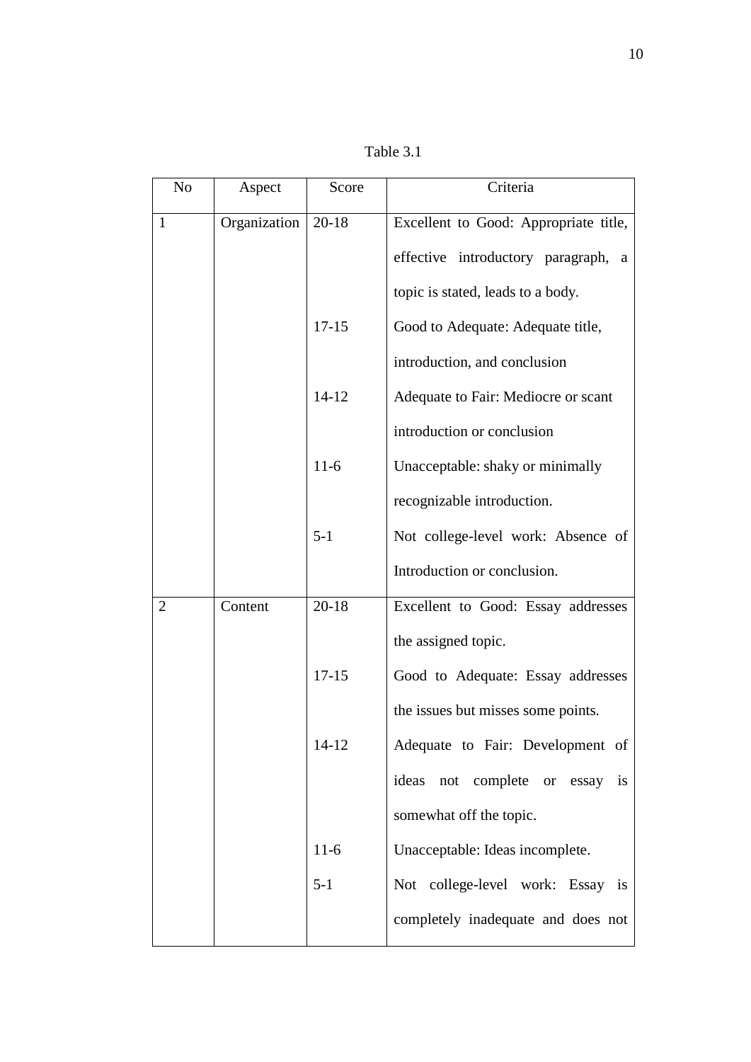| N <sub>o</sub> | Aspect       | Score     | Criteria                                          |
|----------------|--------------|-----------|---------------------------------------------------|
| 1              | Organization | $20-18$   | Excellent to Good: Appropriate title,             |
|                |              |           | effective introductory paragraph,<br>a            |
|                |              |           | topic is stated, leads to a body.                 |
|                |              | $17 - 15$ | Good to Adequate: Adequate title,                 |
|                |              |           | introduction, and conclusion                      |
|                |              | $14 - 12$ | Adequate to Fair: Mediocre or scant               |
|                |              |           | introduction or conclusion                        |
|                |              | $11-6$    | Unacceptable: shaky or minimally                  |
|                |              |           | recognizable introduction.                        |
|                |              | $5-1$     | Not college-level work: Absence of                |
|                |              |           | Introduction or conclusion.                       |
| $\overline{2}$ | Content      | $20 - 18$ | Excellent to Good: Essay addresses                |
|                |              |           | the assigned topic.                               |
|                |              | $17 - 15$ | Good to Adequate: Essay addresses                 |
|                |              |           | the issues but misses some points.                |
|                |              | $14 - 12$ | Adequate to Fair: Development of                  |
|                |              |           | not complete<br>ideas<br>is<br>essay<br><b>or</b> |
|                |              |           | somewhat off the topic.                           |
|                |              | $11-6$    | Unacceptable: Ideas incomplete.                   |
|                |              | $5 - 1$   | Not college-level work: Essay is                  |
|                |              |           | completely inadequate and does not                |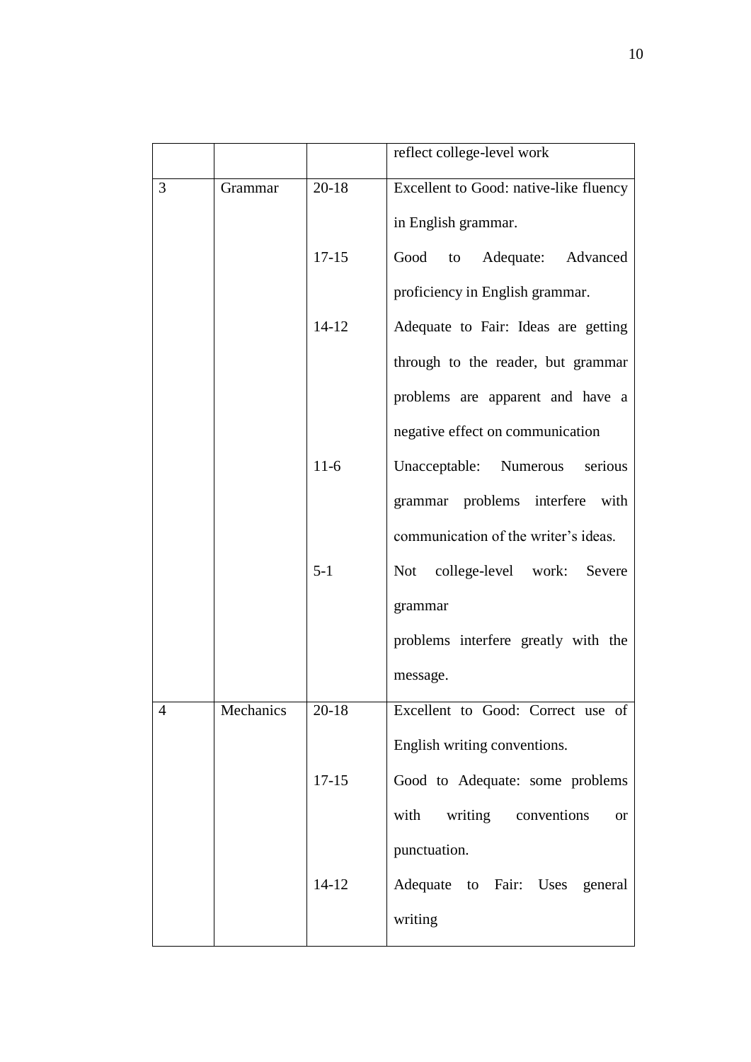|                |           |           | reflect college-level work               |
|----------------|-----------|-----------|------------------------------------------|
| 3              | Grammar   | $20 - 18$ | Excellent to Good: native-like fluency   |
|                |           |           | in English grammar.                      |
|                |           | $17 - 15$ | Good to Adequate: Advanced               |
|                |           |           | proficiency in English grammar.          |
|                |           | $14-12$   | Adequate to Fair: Ideas are getting      |
|                |           |           | through to the reader, but grammar       |
|                |           |           | problems are apparent and have a         |
|                |           |           | negative effect on communication         |
|                |           | $11-6$    | Unacceptable: Numerous<br>serious        |
|                |           |           | grammar problems interfere with          |
|                |           |           | communication of the writer's ideas.     |
|                |           | $5 - 1$   | Not college-level work: Severe           |
|                |           |           | grammar                                  |
|                |           |           | problems interfere greatly with the      |
|                |           |           | message.                                 |
| $\overline{4}$ | Mechanics | $20 - 18$ | Excellent to Good: Correct use of        |
|                |           |           | English writing conventions.             |
|                |           | $17-15$   | Good to Adequate: some problems          |
|                |           |           | writing conventions<br>with<br><b>or</b> |
|                |           |           | punctuation.                             |
|                |           | $14-12$   | Adequate to Fair: Uses general           |
|                |           |           | writing                                  |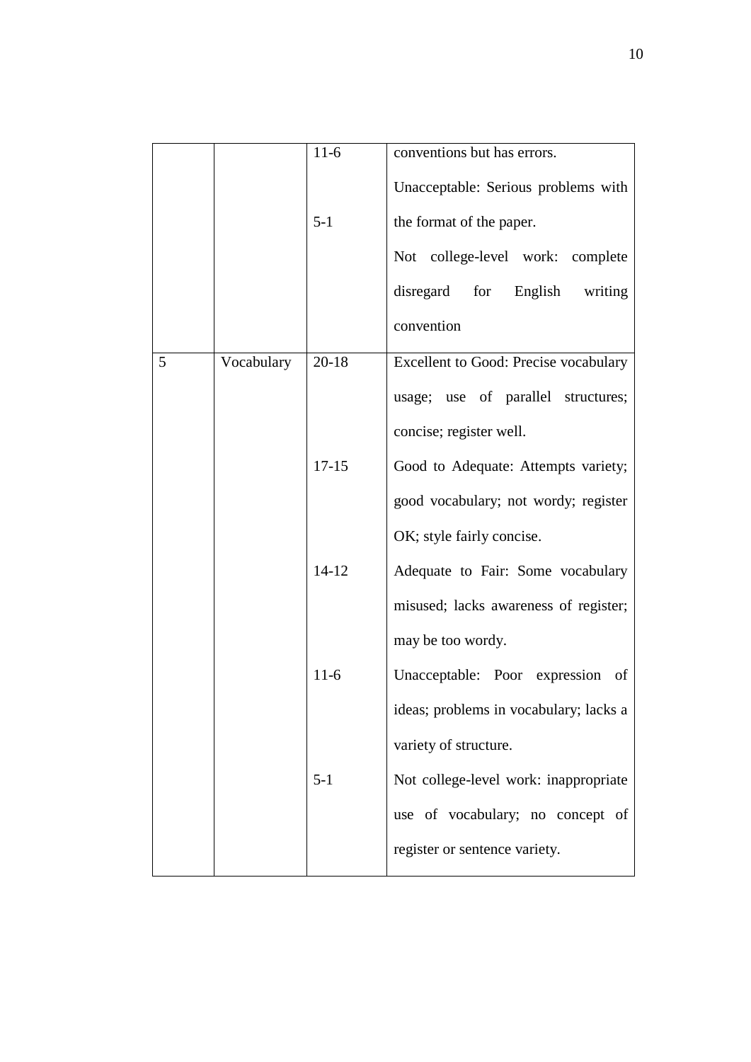|   |            | $11-6$    | conventions but has errors.            |
|---|------------|-----------|----------------------------------------|
|   |            |           | Unacceptable: Serious problems with    |
|   |            | $5 - 1$   | the format of the paper.               |
|   |            |           | Not college-level work: complete       |
|   |            |           | disregard for English writing          |
|   |            |           | convention                             |
| 5 | Vocabulary | $20 - 18$ | Excellent to Good: Precise vocabulary  |
|   |            |           | usage; use of parallel structures;     |
|   |            |           | concise; register well.                |
|   |            | $17 - 15$ | Good to Adequate: Attempts variety;    |
|   |            |           | good vocabulary; not wordy; register   |
|   |            |           | OK; style fairly concise.              |
|   |            | $14 - 12$ | Adequate to Fair: Some vocabulary      |
|   |            |           | misused; lacks awareness of register;  |
|   |            |           | may be too wordy.                      |
|   |            | $11-6$    | Unacceptable: Poor expression<br>of    |
|   |            |           | ideas; problems in vocabulary; lacks a |
|   |            |           | variety of structure.                  |
|   |            | $5 - 1$   | Not college-level work: inappropriate  |
|   |            |           | use of vocabulary; no concept of       |
|   |            |           | register or sentence variety.          |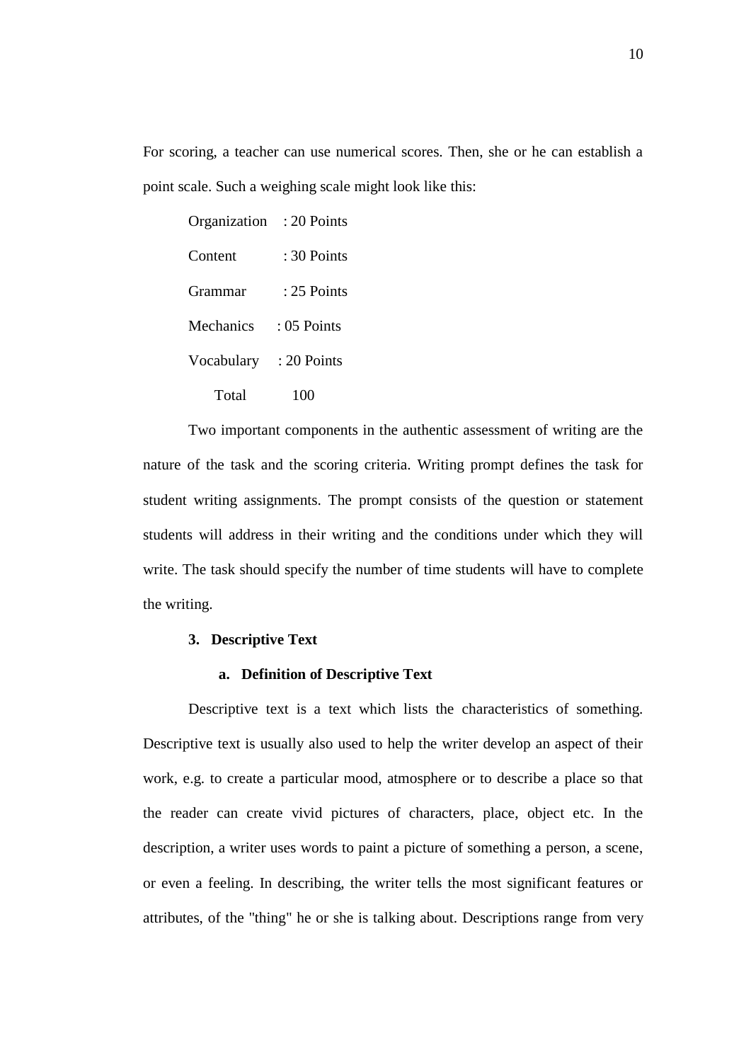For scoring, a teacher can use numerical scores. Then, she or he can establish a point scale. Such a weighing scale might look like this:

| Organization | : 20 Points   |
|--------------|---------------|
| Content      | : 30 Points   |
| Grammar      | $: 25$ Points |
| Mechanics    | $: 05$ Points |
| Vocabulary   | : 20 Points   |
| Total        | 100           |

Two important components in the authentic assessment of writing are the nature of the task and the scoring criteria. Writing prompt defines the task for student writing assignments. The prompt consists of the question or statement students will address in their writing and the conditions under which they will write. The task should specify the number of time students will have to complete the writing.

# **3. Descriptive Text**

### **a. Definition of Descriptive Text**

Descriptive text is a text which lists the characteristics of something. Descriptive text is usually also used to help the writer develop an aspect of their work, e.g. to create a particular mood, atmosphere or to describe a place so that the reader can create vivid pictures of characters, place, object etc. In the description, a writer uses words to paint a picture of something a person, a scene, or even a feeling. In describing, the writer tells the most significant features or attributes, of the "thing" he or she is talking about. Descriptions range from very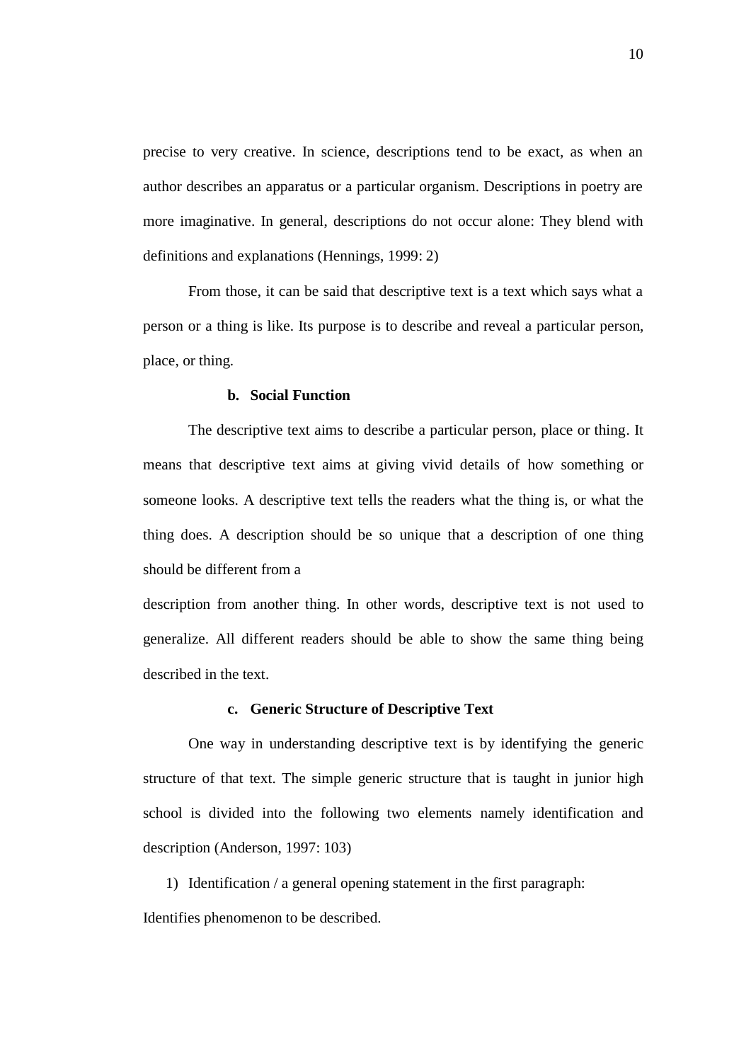precise to very creative. In science, descriptions tend to be exact, as when an author describes an apparatus or a particular organism. Descriptions in poetry are more imaginative. In general, descriptions do not occur alone: They blend with definitions and explanations (Hennings, 1999: 2)

From those, it can be said that descriptive text is a text which says what a person or a thing is like. Its purpose is to describe and reveal a particular person, place, or thing.

### **b. Social Function**

The descriptive text aims to describe a particular person, place or thing. It means that descriptive text aims at giving vivid details of how something or someone looks. A descriptive text tells the readers what the thing is, or what the thing does. A description should be so unique that a description of one thing should be different from a

description from another thing. In other words, descriptive text is not used to generalize. All different readers should be able to show the same thing being described in the text.

# **c. Generic Structure of Descriptive Text**

One way in understanding descriptive text is by identifying the generic structure of that text. The simple generic structure that is taught in junior high school is divided into the following two elements namely identification and description (Anderson, 1997: 103)

1) Identification / a general opening statement in the first paragraph: Identifies phenomenon to be described.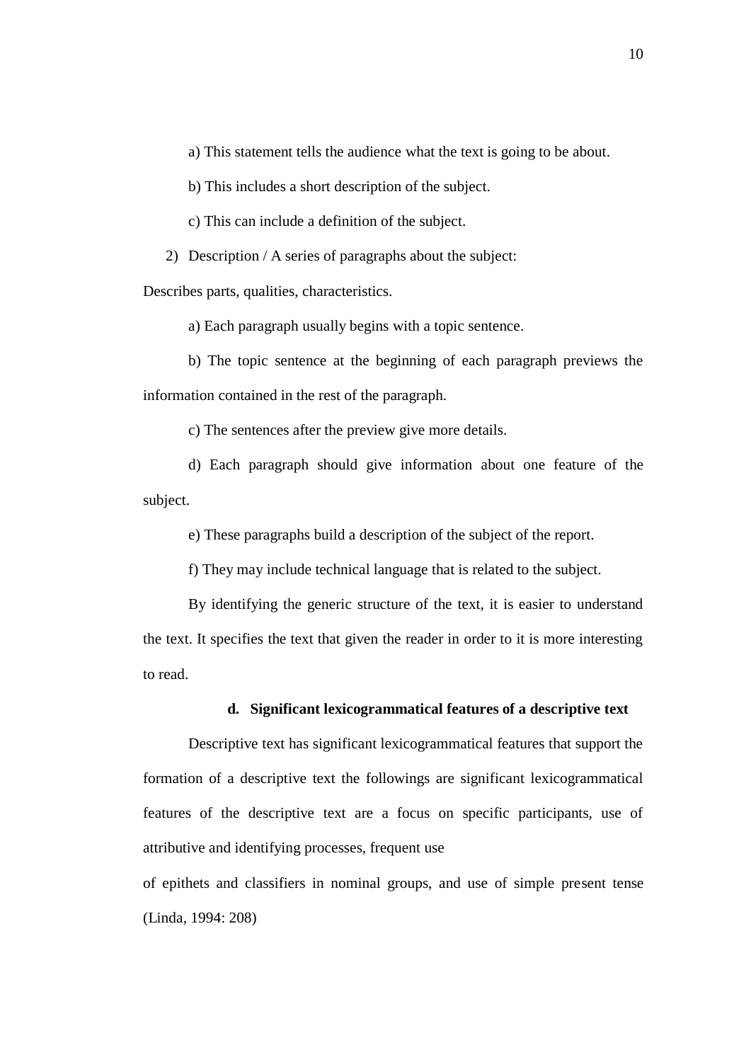a) This statement tells the audience what the text is going to be about.

b) This includes a short description of the subject.

c) This can include a definition of the subject.

2) Description / A series of paragraphs about the subject:

Describes parts, qualities, characteristics.

a) Each paragraph usually begins with a topic sentence.

b) The topic sentence at the beginning of each paragraph previews the information contained in the rest of the paragraph.

c) The sentences after the preview give more details.

d) Each paragraph should give information about one feature of the subject.

e) These paragraphs build a description of the subject of the report.

f) They may include technical language that is related to the subject.

By identifying the generic structure of the text, it is easier to understand the text. It specifies the text that given the reader in order to it is more interesting to read.

# **d. Significant lexicogrammatical features of a descriptive text**

Descriptive text has significant lexicogrammatical features that support the formation of a descriptive text the followings are significant lexicogrammatical features of the descriptive text are a focus on specific participants, use of attributive and identifying processes, frequent use

of epithets and classifiers in nominal groups, and use of simple present tense (Linda, 1994: 208)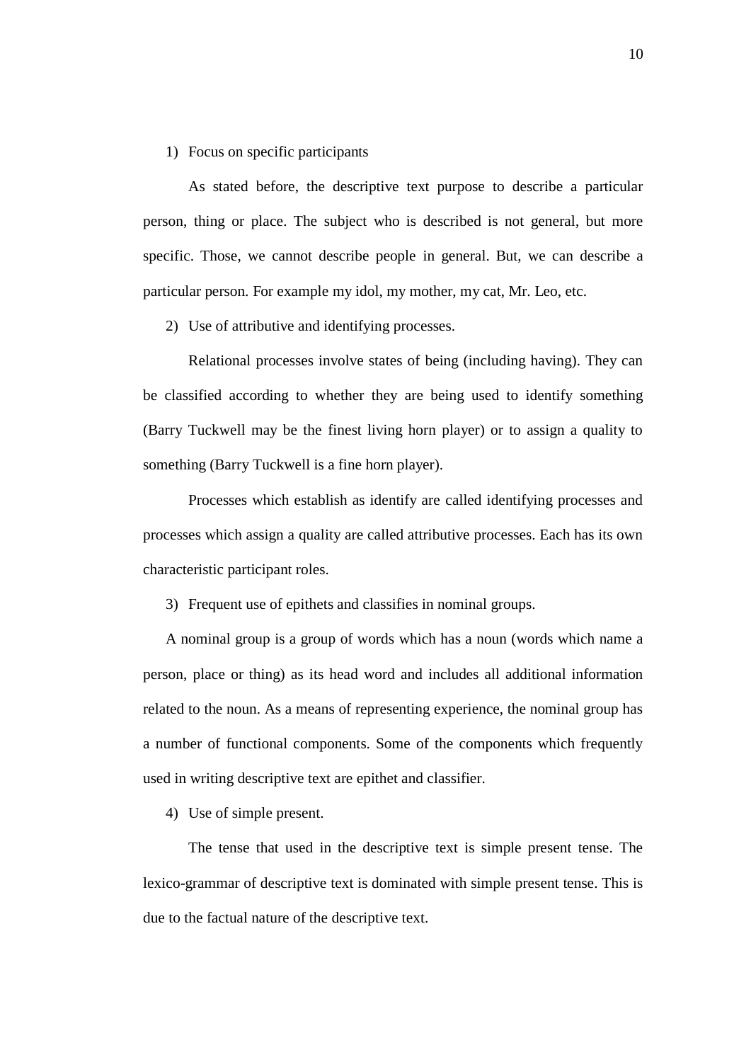# 1) Focus on specific participants

As stated before, the descriptive text purpose to describe a particular person, thing or place. The subject who is described is not general, but more specific. Those, we cannot describe people in general. But, we can describe a particular person. For example my idol, my mother, my cat, Mr. Leo, etc.

2) Use of attributive and identifying processes.

Relational processes involve states of being (including having). They can be classified according to whether they are being used to identify something (Barry Tuckwell may be the finest living horn player) or to assign a quality to something (Barry Tuckwell is a fine horn player).

Processes which establish as identify are called identifying processes and processes which assign a quality are called attributive processes. Each has its own characteristic participant roles.

3) Frequent use of epithets and classifies in nominal groups.

A nominal group is a group of words which has a noun (words which name a person, place or thing) as its head word and includes all additional information related to the noun. As a means of representing experience, the nominal group has a number of functional components. Some of the components which frequently used in writing descriptive text are epithet and classifier.

4) Use of simple present.

The tense that used in the descriptive text is simple present tense. The lexico-grammar of descriptive text is dominated with simple present tense. This is due to the factual nature of the descriptive text.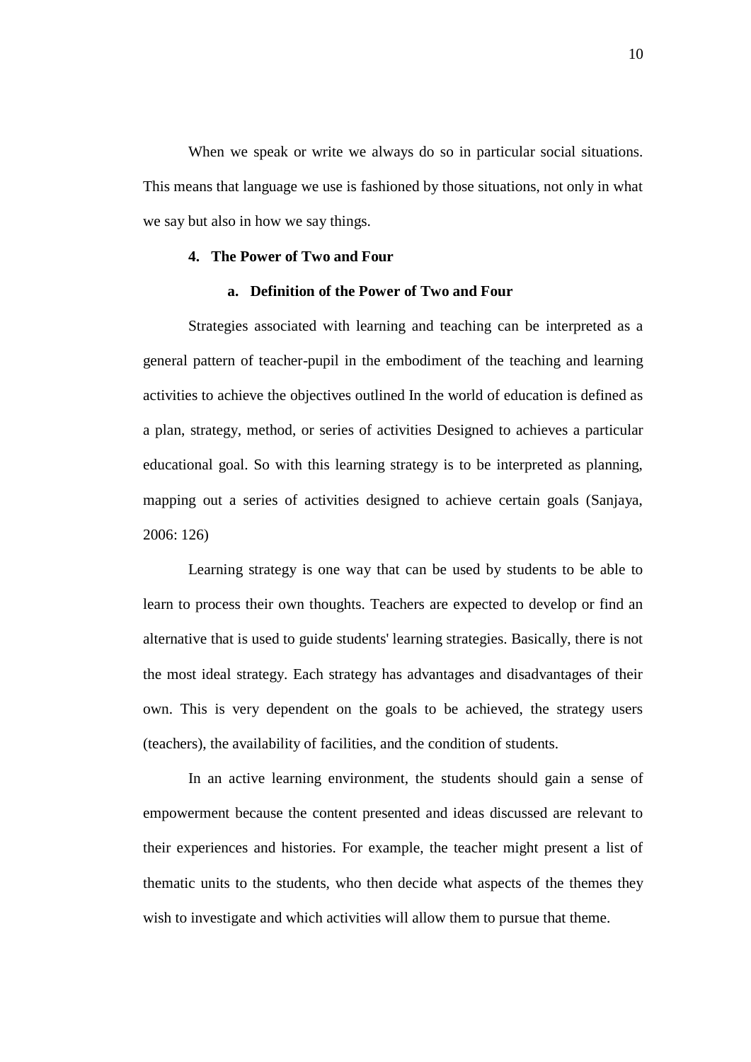When we speak or write we always do so in particular social situations. This means that language we use is fashioned by those situations, not only in what we say but also in how we say things.

# **4. The Power of Two and Four**

### **a. Definition of the Power of Two and Four**

Strategies associated with learning and teaching can be interpreted as a general pattern of teacher-pupil in the embodiment of the teaching and learning activities to achieve the objectives outlined In the world of education is defined as a plan, strategy, method, or series of activities Designed to achieves a particular educational goal. So with this learning strategy is to be interpreted as planning, mapping out a series of activities designed to achieve certain goals (Sanjaya, 2006: 126)

Learning strategy is one way that can be used by students to be able to learn to process their own thoughts. Teachers are expected to develop or find an alternative that is used to guide students' learning strategies. Basically, there is not the most ideal strategy. Each strategy has advantages and disadvantages of their own. This is very dependent on the goals to be achieved, the strategy users (teachers), the availability of facilities, and the condition of students.

In an active learning environment, the students should gain a sense of empowerment because the content presented and ideas discussed are relevant to their experiences and histories. For example, the teacher might present a list of thematic units to the students, who then decide what aspects of the themes they wish to investigate and which activities will allow them to pursue that theme.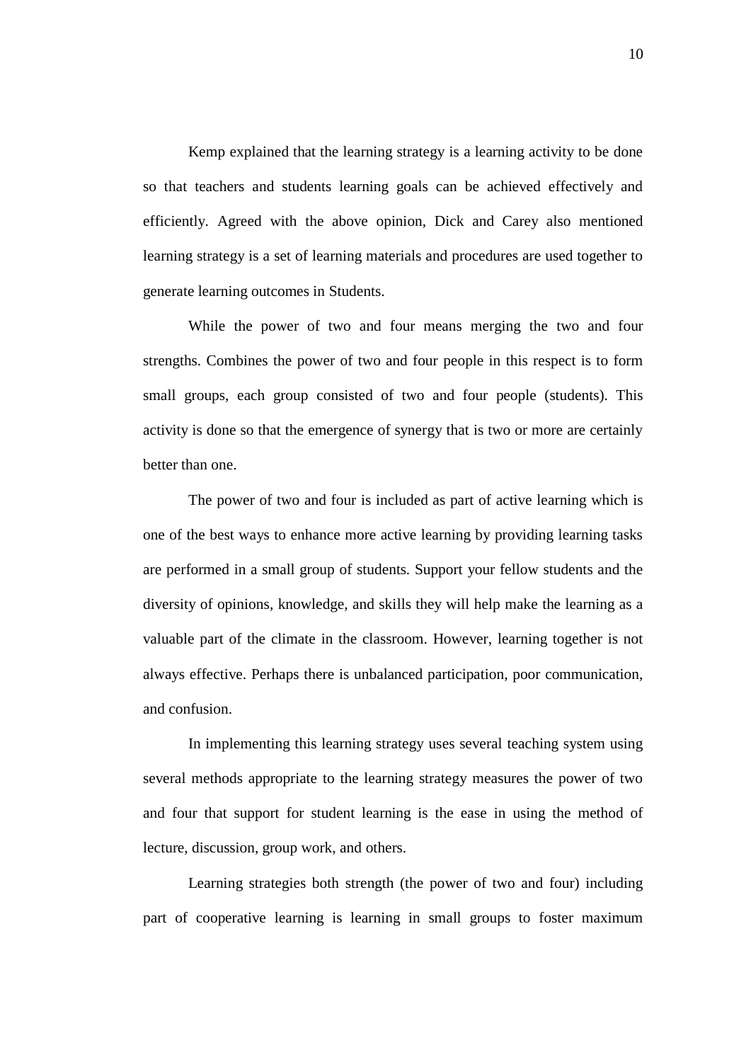Kemp explained that the learning strategy is a learning activity to be done so that teachers and students learning goals can be achieved effectively and efficiently. Agreed with the above opinion, Dick and Carey also mentioned learning strategy is a set of learning materials and procedures are used together to generate learning outcomes in Students.

While the power of two and four means merging the two and four strengths. Combines the power of two and four people in this respect is to form small groups, each group consisted of two and four people (students). This activity is done so that the emergence of synergy that is two or more are certainly better than one.

The power of two and four is included as part of active learning which is one of the best ways to enhance more active learning by providing learning tasks are performed in a small group of students. Support your fellow students and the diversity of opinions, knowledge, and skills they will help make the learning as a valuable part of the climate in the classroom. However, learning together is not always effective. Perhaps there is unbalanced participation, poor communication, and confusion.

In implementing this learning strategy uses several teaching system using several methods appropriate to the learning strategy measures the power of two and four that support for student learning is the ease in using the method of lecture, discussion, group work, and others.

Learning strategies both strength (the power of two and four) including part of cooperative learning is learning in small groups to foster maximum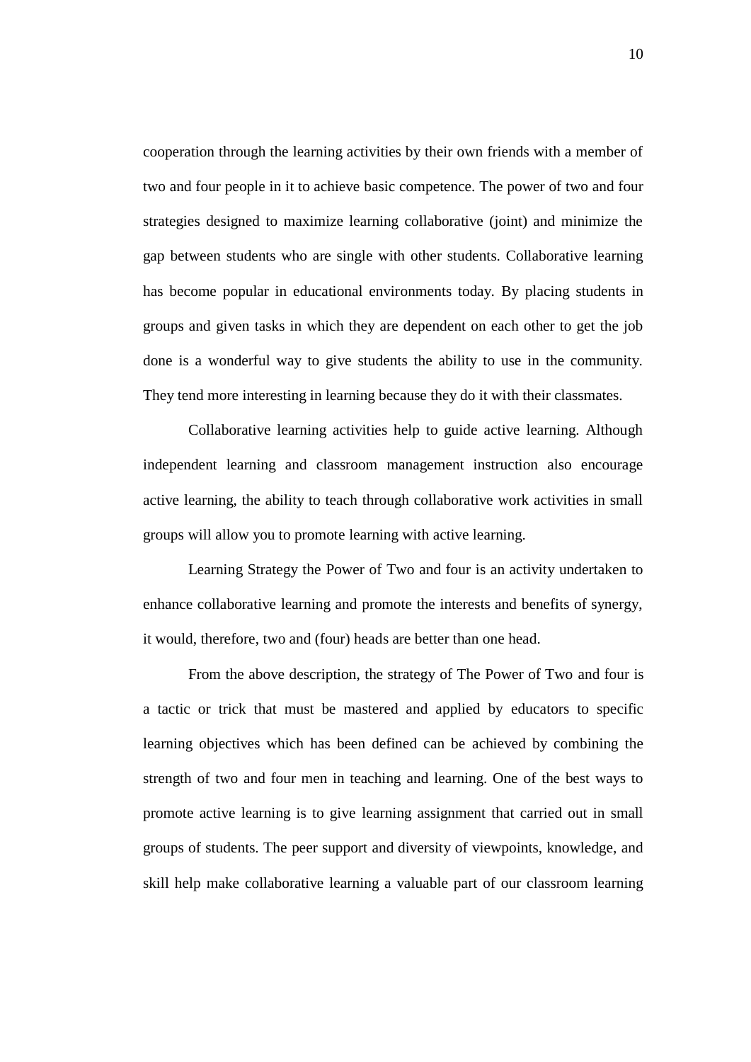cooperation through the learning activities by their own friends with a member of two and four people in it to achieve basic competence. The power of two and four strategies designed to maximize learning collaborative (joint) and minimize the gap between students who are single with other students. Collaborative learning has become popular in educational environments today. By placing students in groups and given tasks in which they are dependent on each other to get the job done is a wonderful way to give students the ability to use in the community. They tend more interesting in learning because they do it with their classmates.

Collaborative learning activities help to guide active learning. Although independent learning and classroom management instruction also encourage active learning, the ability to teach through collaborative work activities in small groups will allow you to promote learning with active learning.

Learning Strategy the Power of Two and four is an activity undertaken to enhance collaborative learning and promote the interests and benefits of synergy, it would, therefore, two and (four) heads are better than one head.

From the above description, the strategy of The Power of Two and four is a tactic or trick that must be mastered and applied by educators to specific learning objectives which has been defined can be achieved by combining the strength of two and four men in teaching and learning. One of the best ways to promote active learning is to give learning assignment that carried out in small groups of students. The peer support and diversity of viewpoints, knowledge, and skill help make collaborative learning a valuable part of our classroom learning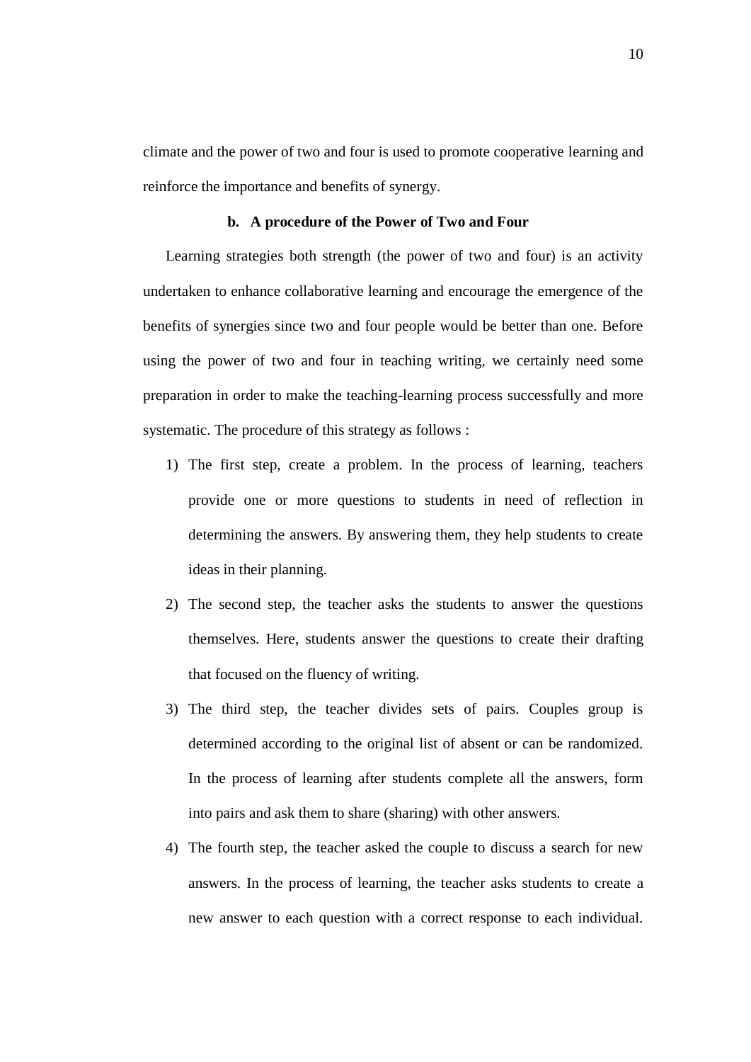climate and the power of two and four is used to promote cooperative learning and reinforce the importance and benefits of synergy.

#### **b. A procedure of the Power of Two and Four**

Learning strategies both strength (the power of two and four) is an activity undertaken to enhance collaborative learning and encourage the emergence of the benefits of synergies since two and four people would be better than one. Before using the power of two and four in teaching writing, we certainly need some preparation in order to make the teaching-learning process successfully and more systematic. The procedure of this strategy as follows :

- 1) The first step, create a problem. In the process of learning, teachers provide one or more questions to students in need of reflection in determining the answers. By answering them, they help students to create ideas in their planning.
- 2) The second step, the teacher asks the students to answer the questions themselves. Here, students answer the questions to create their drafting that focused on the fluency of writing.
- 3) The third step, the teacher divides sets of pairs. Couples group is determined according to the original list of absent or can be randomized. In the process of learning after students complete all the answers, form into pairs and ask them to share (sharing) with other answers.
- 4) The fourth step, the teacher asked the couple to discuss a search for new answers. In the process of learning, the teacher asks students to create a new answer to each question with a correct response to each individual.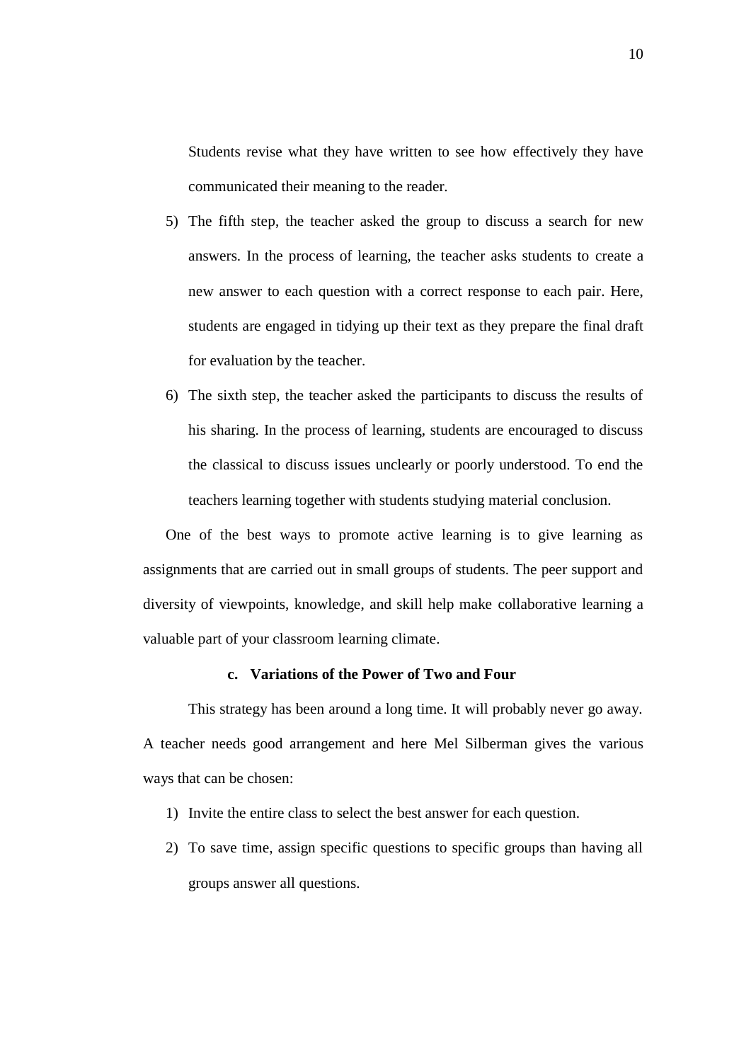Students revise what they have written to see how effectively they have communicated their meaning to the reader.

- 5) The fifth step, the teacher asked the group to discuss a search for new answers. In the process of learning, the teacher asks students to create a new answer to each question with a correct response to each pair. Here, students are engaged in tidying up their text as they prepare the final draft for evaluation by the teacher.
- 6) The sixth step, the teacher asked the participants to discuss the results of his sharing. In the process of learning, students are encouraged to discuss the classical to discuss issues unclearly or poorly understood. To end the teachers learning together with students studying material conclusion.

One of the best ways to promote active learning is to give learning as assignments that are carried out in small groups of students. The peer support and diversity of viewpoints, knowledge, and skill help make collaborative learning a valuable part of your classroom learning climate.

# **c. Variations of the Power of Two and Four**

This strategy has been around a long time. It will probably never go away. A teacher needs good arrangement and here Mel Silberman gives the various ways that can be chosen:

- 1) Invite the entire class to select the best answer for each question.
- 2) To save time, assign specific questions to specific groups than having all groups answer all questions.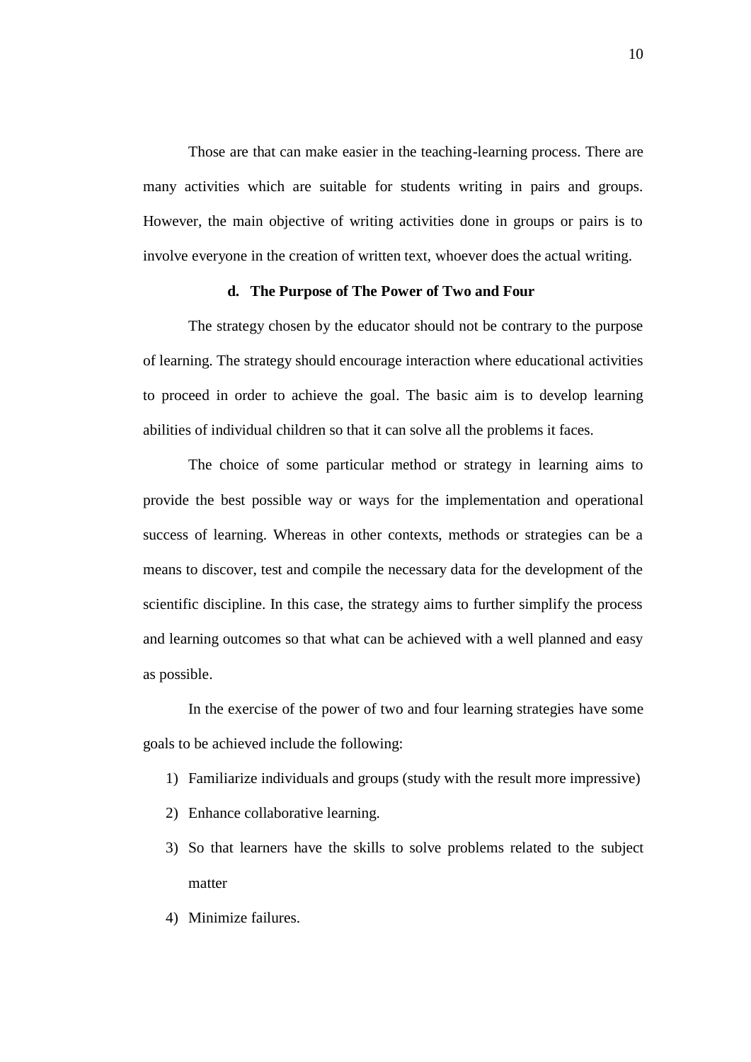Those are that can make easier in the teaching-learning process. There are many activities which are suitable for students writing in pairs and groups. However, the main objective of writing activities done in groups or pairs is to involve everyone in the creation of written text, whoever does the actual writing.

# **d. The Purpose of The Power of Two and Four**

The strategy chosen by the educator should not be contrary to the purpose of learning. The strategy should encourage interaction where educational activities to proceed in order to achieve the goal. The basic aim is to develop learning abilities of individual children so that it can solve all the problems it faces.

The choice of some particular method or strategy in learning aims to provide the best possible way or ways for the implementation and operational success of learning. Whereas in other contexts, methods or strategies can be a means to discover, test and compile the necessary data for the development of the scientific discipline. In this case, the strategy aims to further simplify the process and learning outcomes so that what can be achieved with a well planned and easy as possible.

In the exercise of the power of two and four learning strategies have some goals to be achieved include the following:

- 1) Familiarize individuals and groups (study with the result more impressive)
- 2) Enhance collaborative learning.
- 3) So that learners have the skills to solve problems related to the subject matter
- 4) Minimize failures.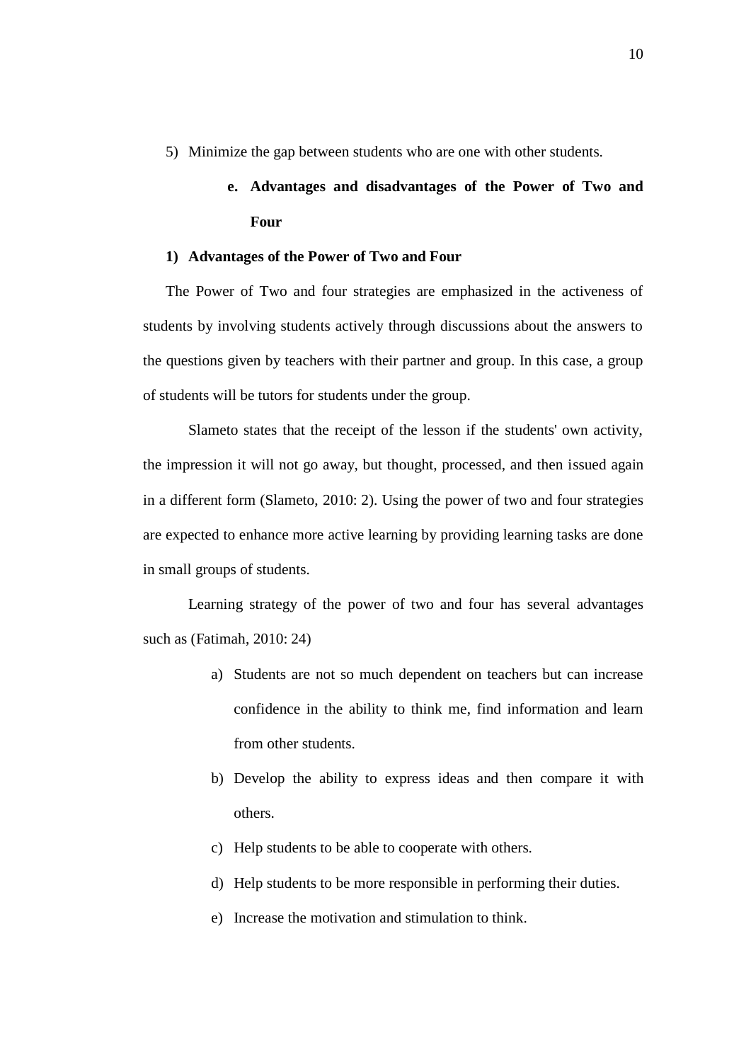5) Minimize the gap between students who are one with other students.

# **e. Advantages and disadvantages of the Power of Two and Four**

# **1) Advantages of the Power of Two and Four**

The Power of Two and four strategies are emphasized in the activeness of students by involving students actively through discussions about the answers to the questions given by teachers with their partner and group. In this case, a group of students will be tutors for students under the group.

Slameto states that the receipt of the lesson if the students' own activity, the impression it will not go away, but thought, processed, and then issued again in a different form (Slameto, 2010: 2). Using the power of two and four strategies are expected to enhance more active learning by providing learning tasks are done in small groups of students.

Learning strategy of the power of two and four has several advantages such as (Fatimah, 2010: 24)

- a) Students are not so much dependent on teachers but can increase confidence in the ability to think me, find information and learn from other students.
- b) Develop the ability to express ideas and then compare it with others.
- c) Help students to be able to cooperate with others.
- d) Help students to be more responsible in performing their duties.
- e) Increase the motivation and stimulation to think.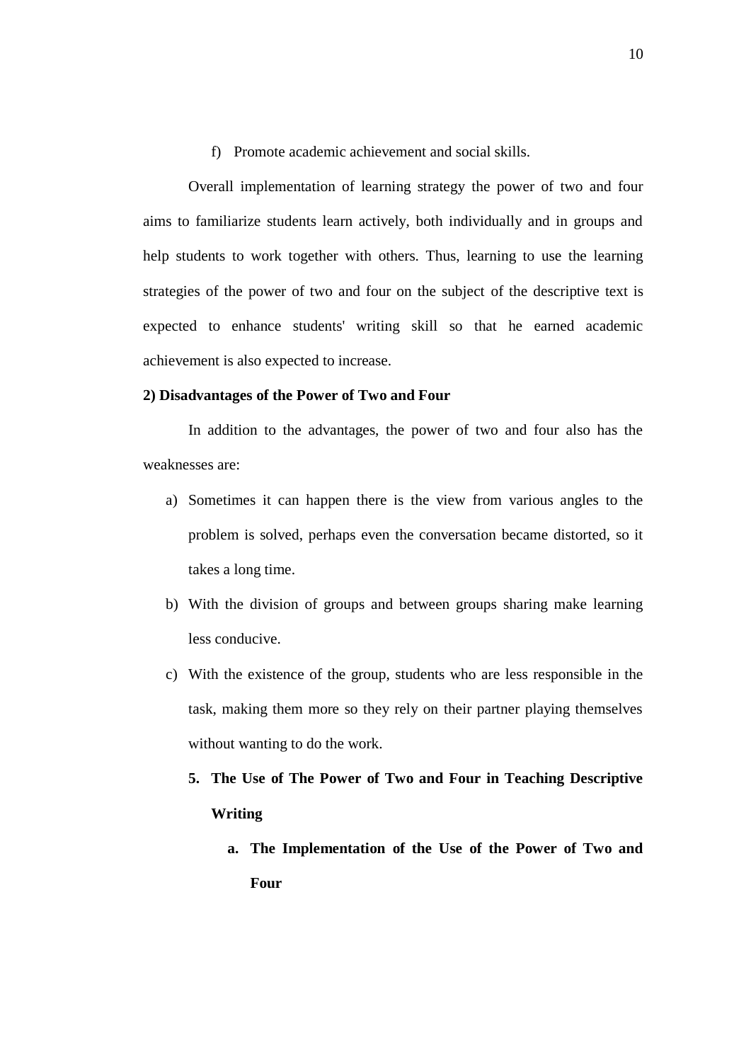f) Promote academic achievement and social skills.

Overall implementation of learning strategy the power of two and four aims to familiarize students learn actively, both individually and in groups and help students to work together with others. Thus, learning to use the learning strategies of the power of two and four on the subject of the descriptive text is expected to enhance students' writing skill so that he earned academic achievement is also expected to increase.

# **2) Disadvantages of the Power of Two and Four**

In addition to the advantages, the power of two and four also has the weaknesses are:

- a) Sometimes it can happen there is the view from various angles to the problem is solved, perhaps even the conversation became distorted, so it takes a long time.
- b) With the division of groups and between groups sharing make learning less conducive.
- c) With the existence of the group, students who are less responsible in the task, making them more so they rely on their partner playing themselves without wanting to do the work.
	- **5. The Use of The Power of Two and Four in Teaching Descriptive Writing**
		- **a. The Implementation of the Use of the Power of Two and Four**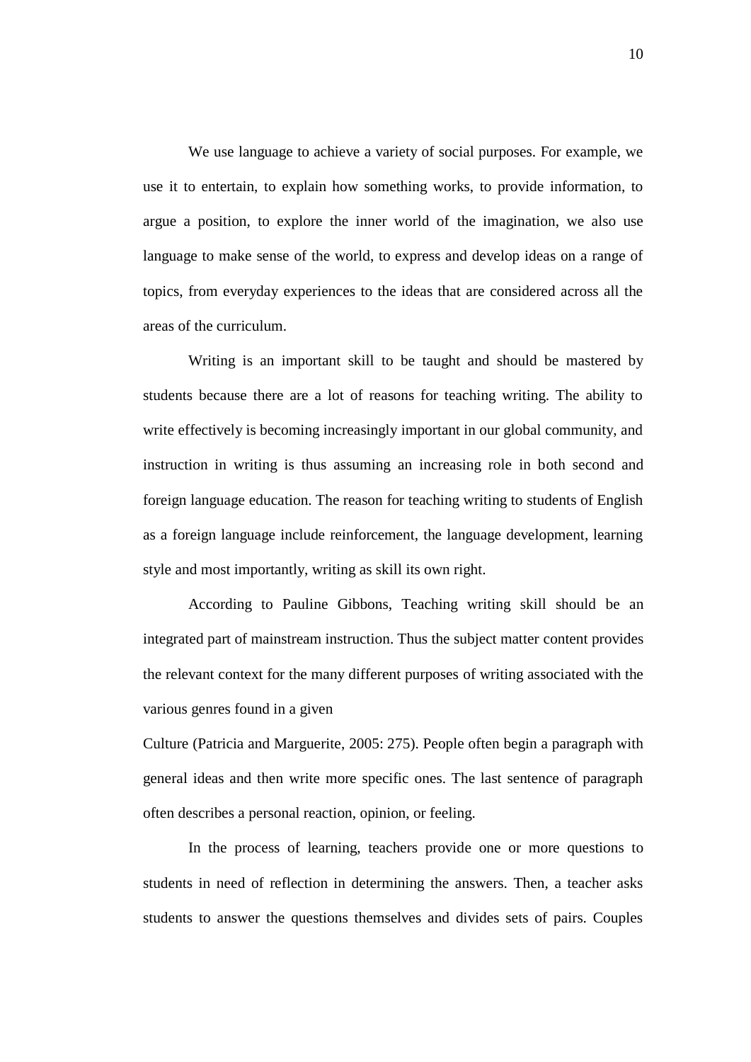We use language to achieve a variety of social purposes. For example, we use it to entertain, to explain how something works, to provide information, to argue a position, to explore the inner world of the imagination, we also use language to make sense of the world, to express and develop ideas on a range of topics, from everyday experiences to the ideas that are considered across all the areas of the curriculum.

Writing is an important skill to be taught and should be mastered by students because there are a lot of reasons for teaching writing. The ability to write effectively is becoming increasingly important in our global community, and instruction in writing is thus assuming an increasing role in both second and foreign language education. The reason for teaching writing to students of English as a foreign language include reinforcement, the language development, learning style and most importantly, writing as skill its own right.

According to Pauline Gibbons, Teaching writing skill should be an integrated part of mainstream instruction. Thus the subject matter content provides the relevant context for the many different purposes of writing associated with the various genres found in a given

Culture (Patricia and Marguerite, 2005: 275). People often begin a paragraph with general ideas and then write more specific ones. The last sentence of paragraph often describes a personal reaction, opinion, or feeling.

In the process of learning, teachers provide one or more questions to students in need of reflection in determining the answers. Then, a teacher asks students to answer the questions themselves and divides sets of pairs. Couples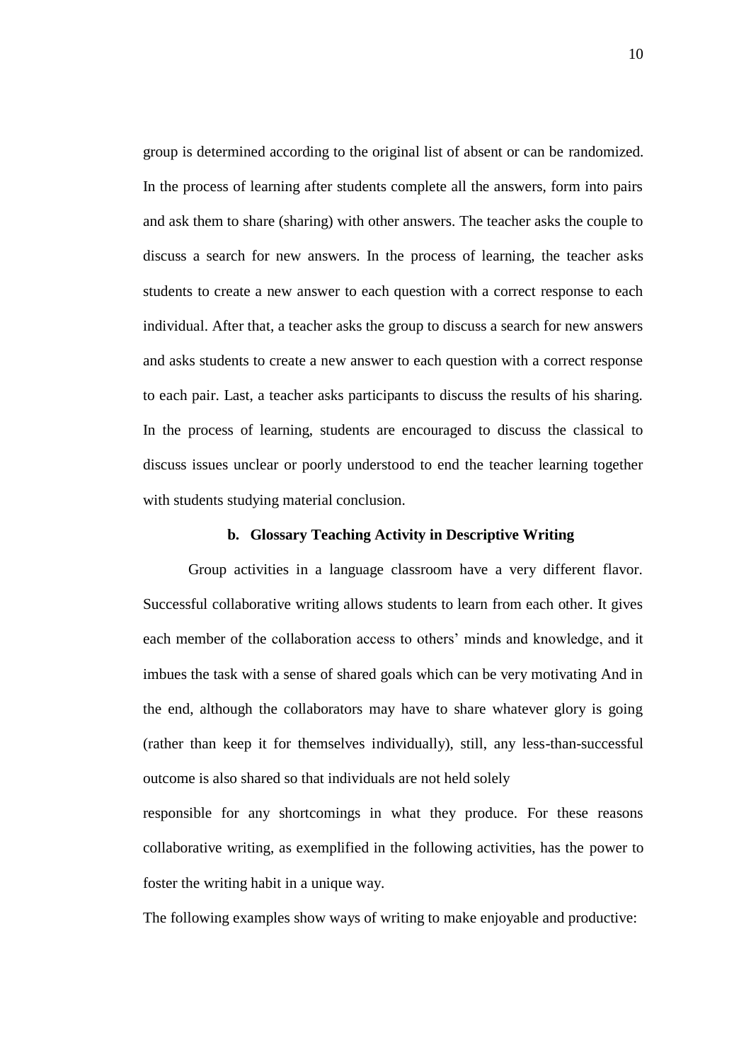group is determined according to the original list of absent or can be randomized. In the process of learning after students complete all the answers, form into pairs and ask them to share (sharing) with other answers. The teacher asks the couple to discuss a search for new answers. In the process of learning, the teacher asks students to create a new answer to each question with a correct response to each individual. After that, a teacher asks the group to discuss a search for new answers and asks students to create a new answer to each question with a correct response to each pair. Last, a teacher asks participants to discuss the results of his sharing. In the process of learning, students are encouraged to discuss the classical to discuss issues unclear or poorly understood to end the teacher learning together with students studying material conclusion.

### **b. Glossary Teaching Activity in Descriptive Writing**

Group activities in a language classroom have a very different flavor. Successful collaborative writing allows students to learn from each other. It gives each member of the collaboration access to others' minds and knowledge, and it imbues the task with a sense of shared goals which can be very motivating And in the end, although the collaborators may have to share whatever glory is going (rather than keep it for themselves individually), still, any less-than-successful outcome is also shared so that individuals are not held solely

responsible for any shortcomings in what they produce. For these reasons collaborative writing, as exemplified in the following activities, has the power to foster the writing habit in a unique way.

The following examples show ways of writing to make enjoyable and productive: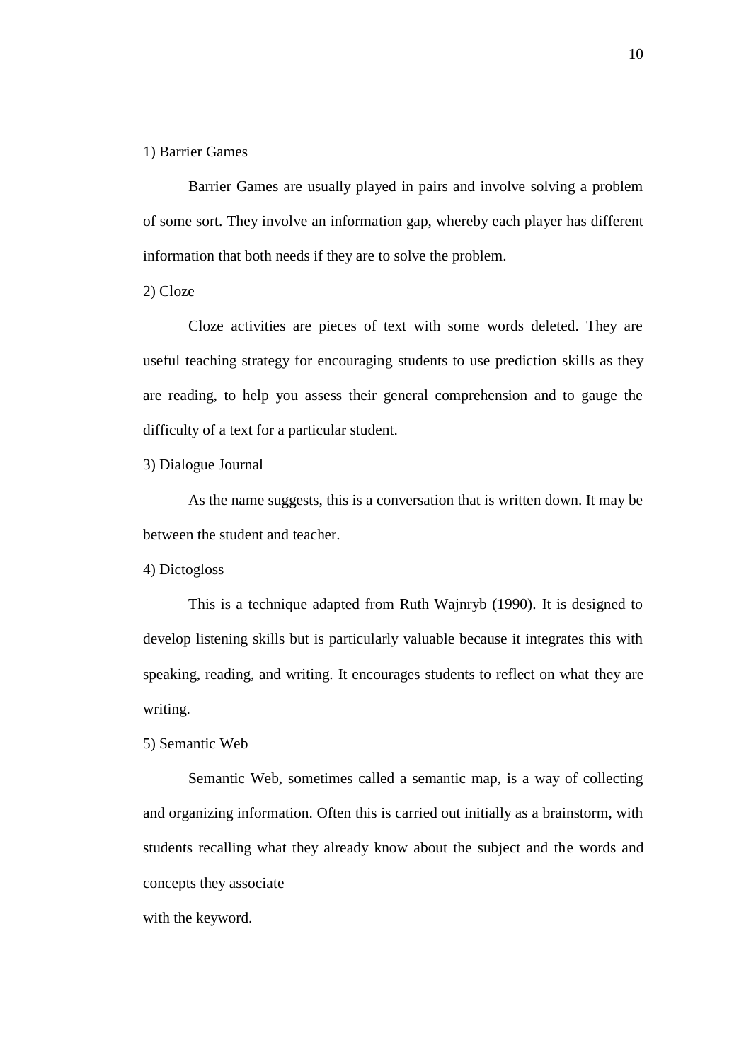## 1) Barrier Games

Barrier Games are usually played in pairs and involve solving a problem of some sort. They involve an information gap, whereby each player has different information that both needs if they are to solve the problem.

2) Cloze

Cloze activities are pieces of text with some words deleted. They are useful teaching strategy for encouraging students to use prediction skills as they are reading, to help you assess their general comprehension and to gauge the difficulty of a text for a particular student.

3) Dialogue Journal

As the name suggests, this is a conversation that is written down. It may be between the student and teacher.

4) Dictogloss

This is a technique adapted from Ruth Wajnryb (1990). It is designed to develop listening skills but is particularly valuable because it integrates this with speaking, reading, and writing. It encourages students to reflect on what they are writing.

5) Semantic Web

Semantic Web, sometimes called a semantic map, is a way of collecting and organizing information. Often this is carried out initially as a brainstorm, with students recalling what they already know about the subject and the words and concepts they associate

with the keyword.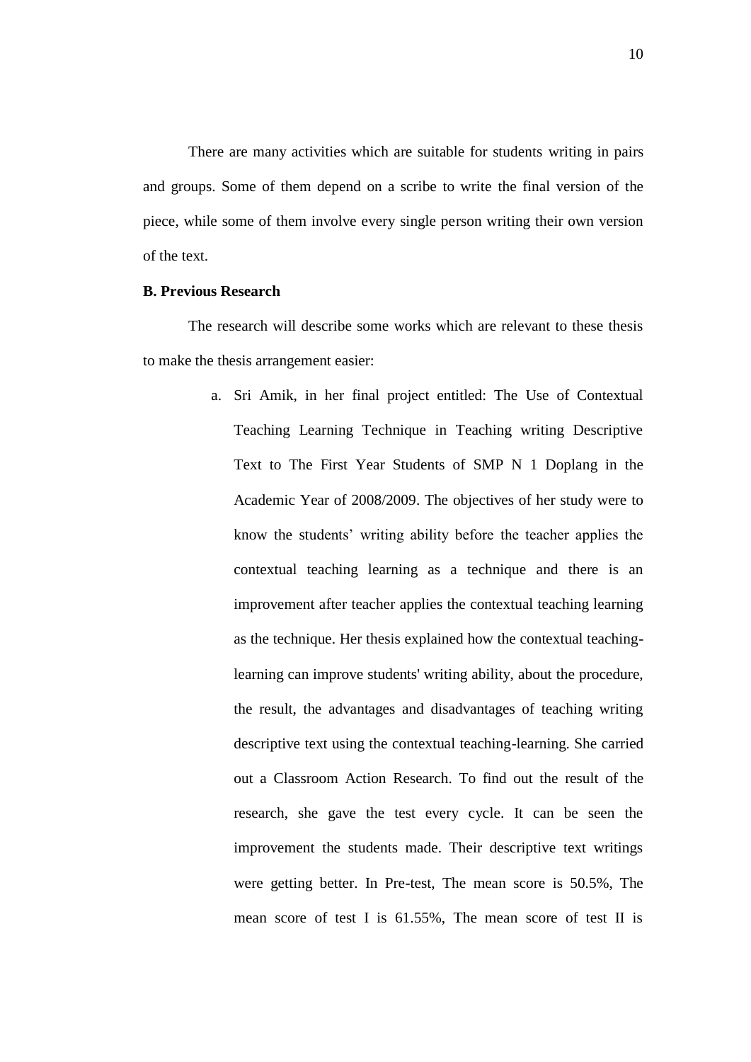There are many activities which are suitable for students writing in pairs and groups. Some of them depend on a scribe to write the final version of the piece, while some of them involve every single person writing their own version of the text.

# **B. Previous Research**

The research will describe some works which are relevant to these thesis to make the thesis arrangement easier:

> a. Sri Amik, in her final project entitled: The Use of Contextual Teaching Learning Technique in Teaching writing Descriptive Text to The First Year Students of SMP N 1 Doplang in the Academic Year of 2008/2009. The objectives of her study were to know the students' writing ability before the teacher applies the contextual teaching learning as a technique and there is an improvement after teacher applies the contextual teaching learning as the technique. Her thesis explained how the contextual teachinglearning can improve students' writing ability, about the procedure, the result, the advantages and disadvantages of teaching writing descriptive text using the contextual teaching-learning. She carried out a Classroom Action Research. To find out the result of the research, she gave the test every cycle. It can be seen the improvement the students made. Their descriptive text writings were getting better. In Pre-test, The mean score is 50.5%, The mean score of test I is 61.55%, The mean score of test II is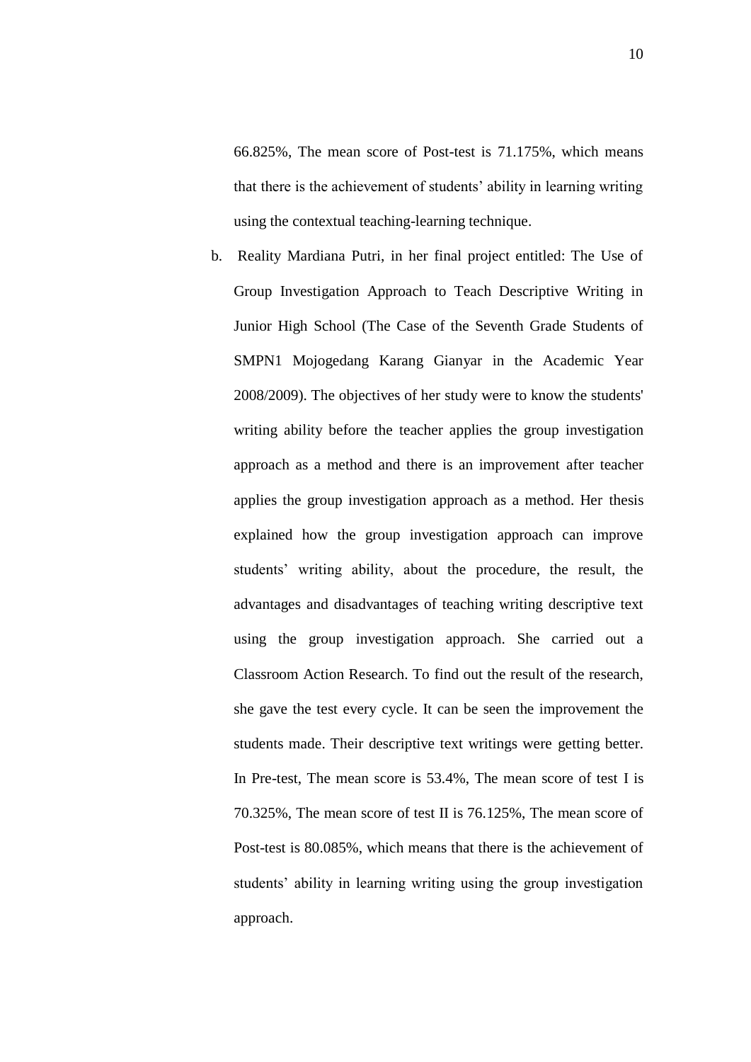66.825%, The mean score of Post-test is 71.175%, which means that there is the achievement of students' ability in learning writing using the contextual teaching-learning technique.

b. Reality Mardiana Putri, in her final project entitled: The Use of Group Investigation Approach to Teach Descriptive Writing in Junior High School (The Case of the Seventh Grade Students of SMPN1 Mojogedang Karang Gianyar in the Academic Year 2008/2009). The objectives of her study were to know the students' writing ability before the teacher applies the group investigation approach as a method and there is an improvement after teacher applies the group investigation approach as a method. Her thesis explained how the group investigation approach can improve students' writing ability, about the procedure, the result, the advantages and disadvantages of teaching writing descriptive text using the group investigation approach. She carried out a Classroom Action Research. To find out the result of the research, she gave the test every cycle. It can be seen the improvement the students made. Their descriptive text writings were getting better. In Pre-test, The mean score is 53.4%, The mean score of test I is 70.325%, The mean score of test II is 76.125%, The mean score of Post-test is 80.085%, which means that there is the achievement of students' ability in learning writing using the group investigation approach.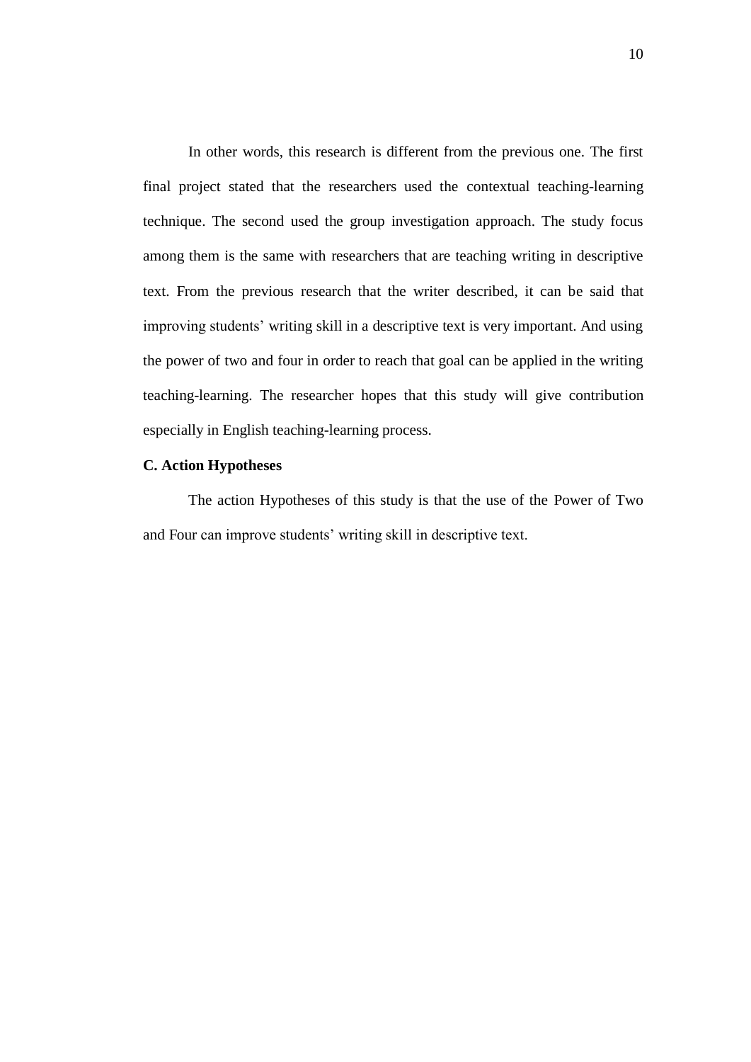In other words, this research is different from the previous one. The first final project stated that the researchers used the contextual teaching-learning technique. The second used the group investigation approach. The study focus among them is the same with researchers that are teaching writing in descriptive text. From the previous research that the writer described, it can be said that improving students' writing skill in a descriptive text is very important. And using the power of two and four in order to reach that goal can be applied in the writing teaching-learning. The researcher hopes that this study will give contribution especially in English teaching-learning process.

# **C. Action Hypotheses**

The action Hypotheses of this study is that the use of the Power of Two and Four can improve students' writing skill in descriptive text.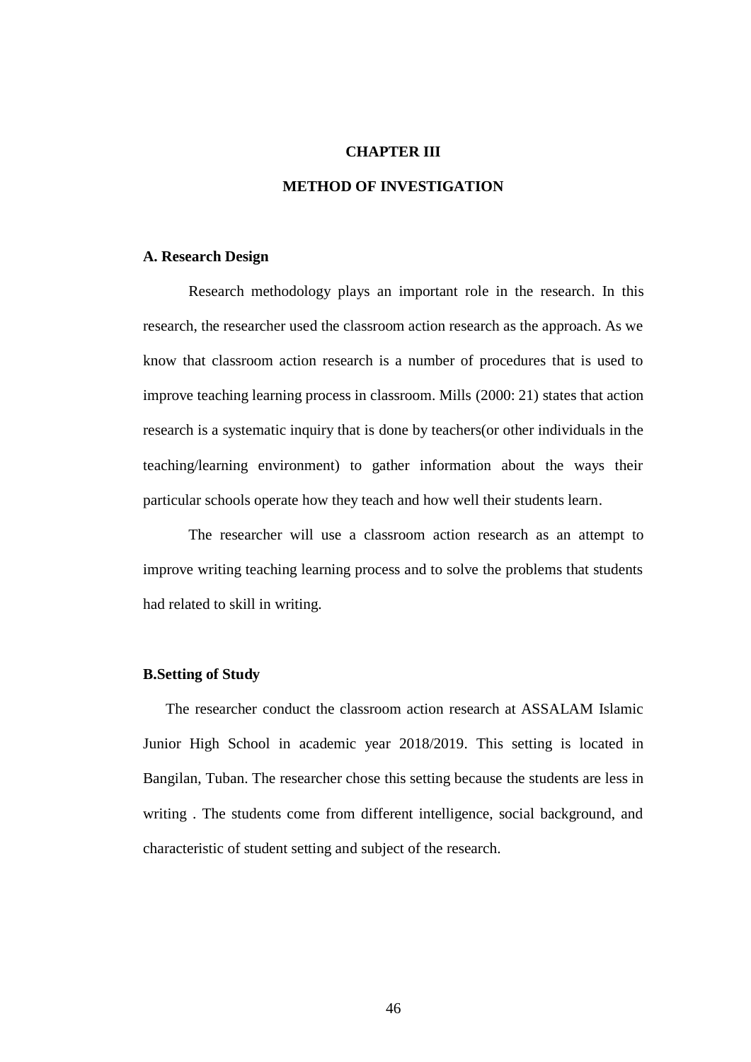# **CHAPTER III**

# **METHOD OF INVESTIGATION**

# **A. Research Design**

Research methodology plays an important role in the research. In this research, the researcher used the classroom action research as the approach. As we know that classroom action research is a number of procedures that is used to improve teaching learning process in classroom. Mills (2000: 21) states that action research is a systematic inquiry that is done by teachers(or other individuals in the teaching/learning environment) to gather information about the ways their particular schools operate how they teach and how well their students learn.

The researcher will use a classroom action research as an attempt to improve writing teaching learning process and to solve the problems that students had related to skill in writing.

# **B.Setting of Study**

The researcher conduct the classroom action research at ASSALAM Islamic Junior High School in academic year 2018/2019. This setting is located in Bangilan, Tuban. The researcher chose this setting because the students are less in writing . The students come from different intelligence, social background, and characteristic of student setting and subject of the research.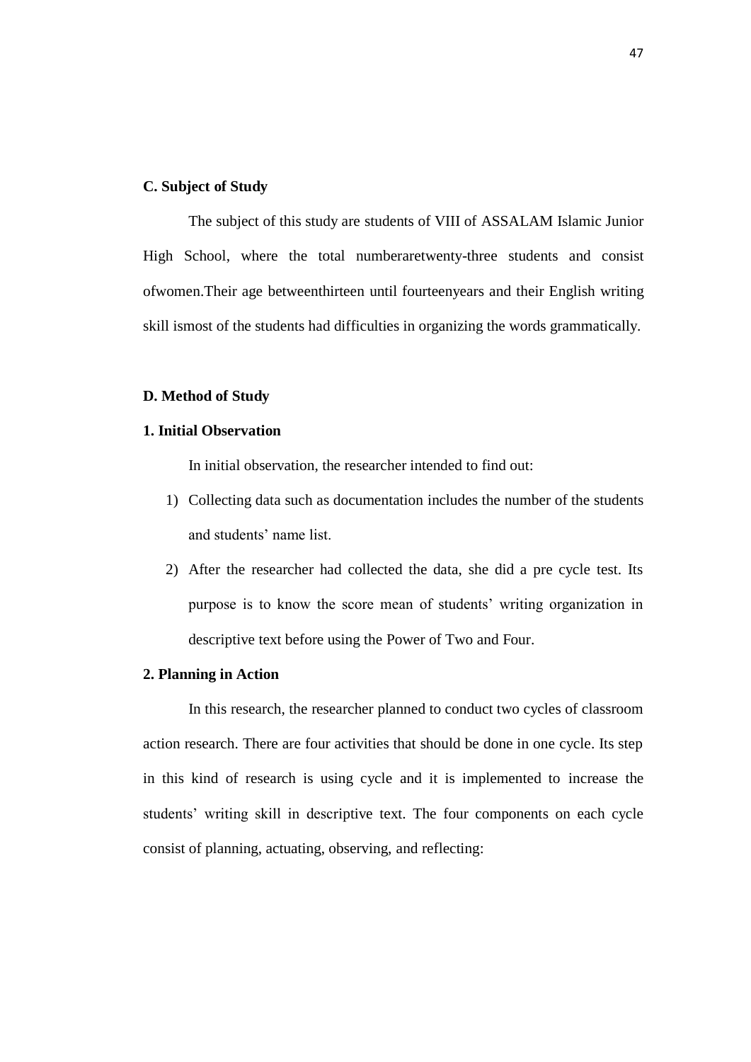# **C. Subject of Study**

The subject of this study are students of VIII of ASSALAM Islamic Junior High School, where the total numberaretwenty-three students and consist ofwomen.Their age betweenthirteen until fourteenyears and their English writing skill ismost of the students had difficulties in organizing the words grammatically.

### **D. Method of Study**

# **1. Initial Observation**

In initial observation, the researcher intended to find out:

- 1) Collecting data such as documentation includes the number of the students and students' name list.
- 2) After the researcher had collected the data, she did a pre cycle test. Its purpose is to know the score mean of students' writing organization in descriptive text before using the Power of Two and Four.

# **2. Planning in Action**

In this research, the researcher planned to conduct two cycles of classroom action research. There are four activities that should be done in one cycle. Its step in this kind of research is using cycle and it is implemented to increase the students' writing skill in descriptive text. The four components on each cycle consist of planning, actuating, observing, and reflecting: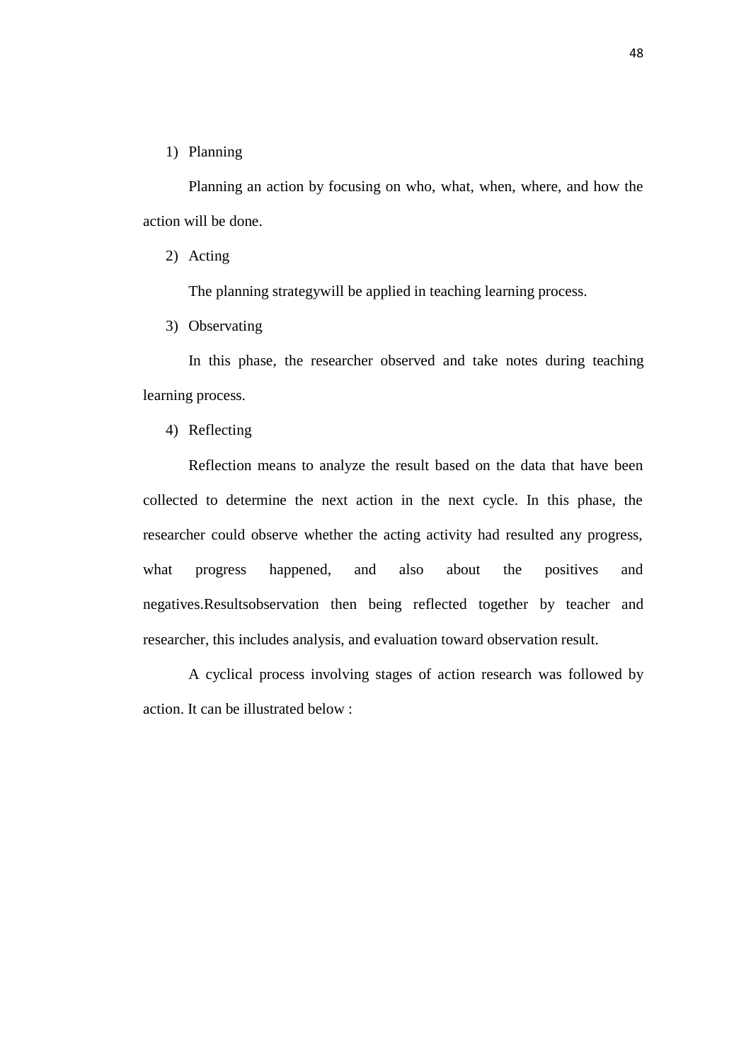# 1) Planning

Planning an action by focusing on who, what, when, where, and how the action will be done.

2) Acting

The planning strategywill be applied in teaching learning process.

3) Observating

In this phase, the researcher observed and take notes during teaching learning process.

4) Reflecting

Reflection means to analyze the result based on the data that have been collected to determine the next action in the next cycle. In this phase, the researcher could observe whether the acting activity had resulted any progress, what progress happened, and also about the positives and negatives.Resultsobservation then being reflected together by teacher and researcher, this includes analysis, and evaluation toward observation result.

A cyclical process involving stages of action research was followed by action. It can be illustrated below :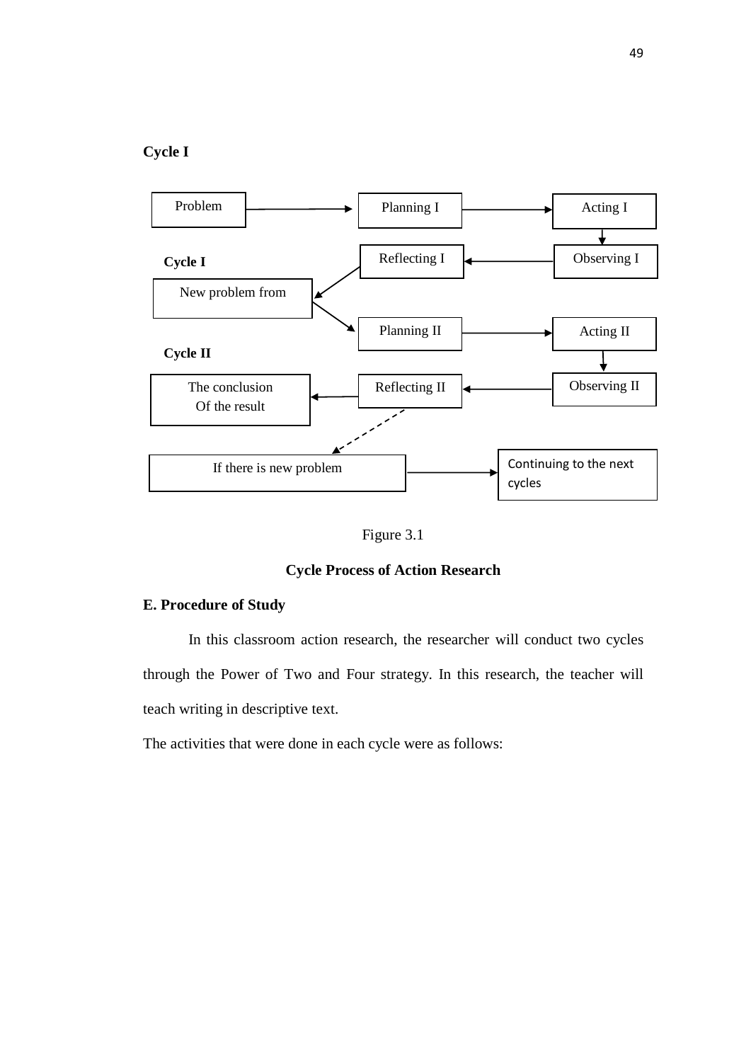# **Cycle I**



Figure 3.1

# **Cycle Process of Action Research**

# **E. Procedure of Study**

In this classroom action research, the researcher will conduct two cycles through the Power of Two and Four strategy. In this research, the teacher will teach writing in descriptive text.

The activities that were done in each cycle were as follows: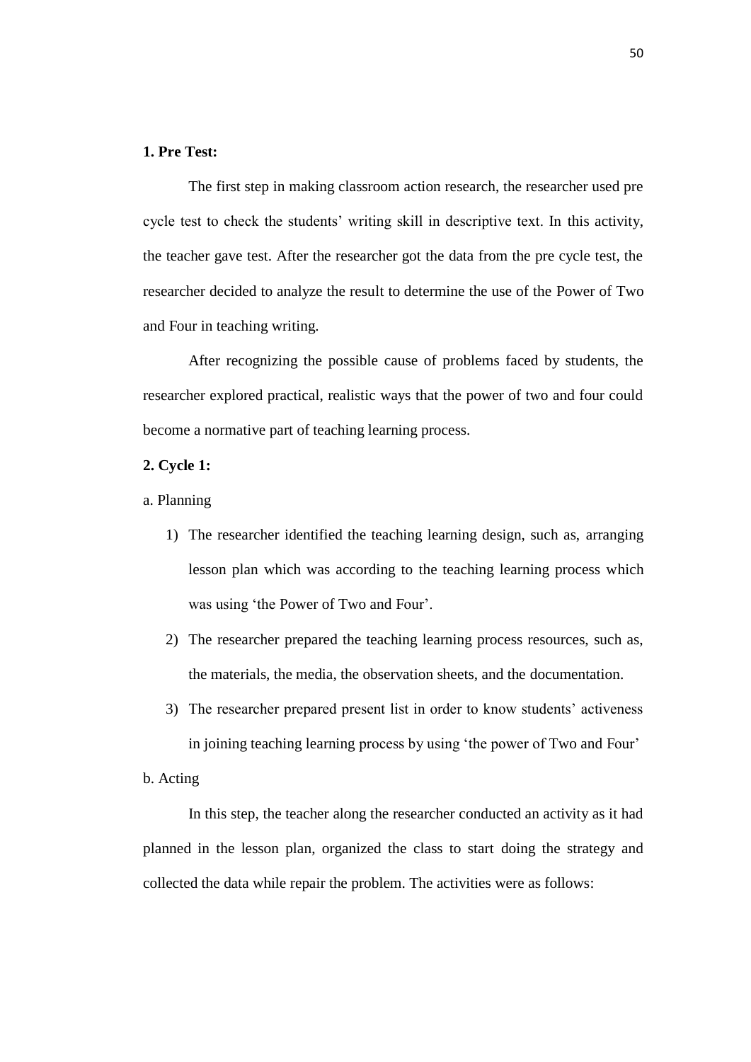# **1. Pre Test:**

The first step in making classroom action research, the researcher used pre cycle test to check the students' writing skill in descriptive text. In this activity, the teacher gave test. After the researcher got the data from the pre cycle test, the researcher decided to analyze the result to determine the use of the Power of Two and Four in teaching writing.

After recognizing the possible cause of problems faced by students, the researcher explored practical, realistic ways that the power of two and four could become a normative part of teaching learning process.

# **2. Cycle 1:**

- a. Planning
	- 1) The researcher identified the teaching learning design, such as, arranging lesson plan which was according to the teaching learning process which was using 'the Power of Two and Four'.
	- 2) The researcher prepared the teaching learning process resources, such as, the materials, the media, the observation sheets, and the documentation.
	- 3) The researcher prepared present list in order to know students' activeness in joining teaching learning process by using 'the power of Two and Four'

# b. Acting

In this step, the teacher along the researcher conducted an activity as it had planned in the lesson plan, organized the class to start doing the strategy and collected the data while repair the problem. The activities were as follows: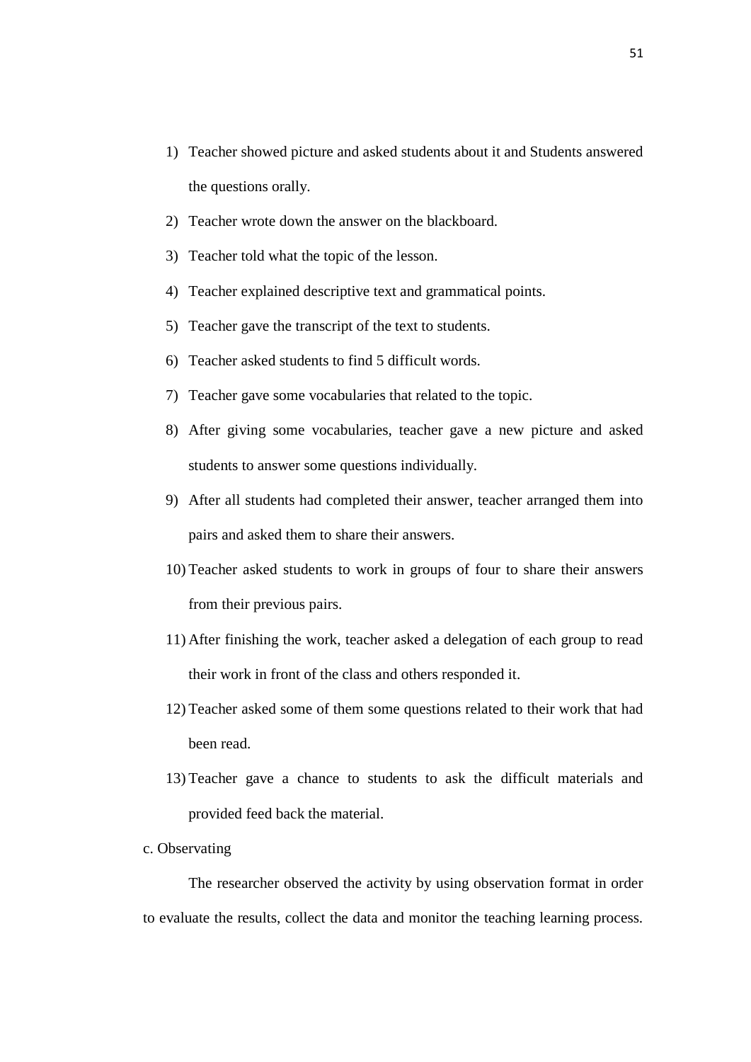- 1) Teacher showed picture and asked students about it and Students answered the questions orally.
- 2) Teacher wrote down the answer on the blackboard.
- 3) Teacher told what the topic of the lesson.
- 4) Teacher explained descriptive text and grammatical points.
- 5) Teacher gave the transcript of the text to students.
- 6) Teacher asked students to find 5 difficult words.
- 7) Teacher gave some vocabularies that related to the topic.
- 8) After giving some vocabularies, teacher gave a new picture and asked students to answer some questions individually.
- 9) After all students had completed their answer, teacher arranged them into pairs and asked them to share their answers.
- 10) Teacher asked students to work in groups of four to share their answers from their previous pairs.
- 11) After finishing the work, teacher asked a delegation of each group to read their work in front of the class and others responded it.
- 12) Teacher asked some of them some questions related to their work that had been read.
- 13) Teacher gave a chance to students to ask the difficult materials and provided feed back the material.
- c. Observating

The researcher observed the activity by using observation format in order to evaluate the results, collect the data and monitor the teaching learning process.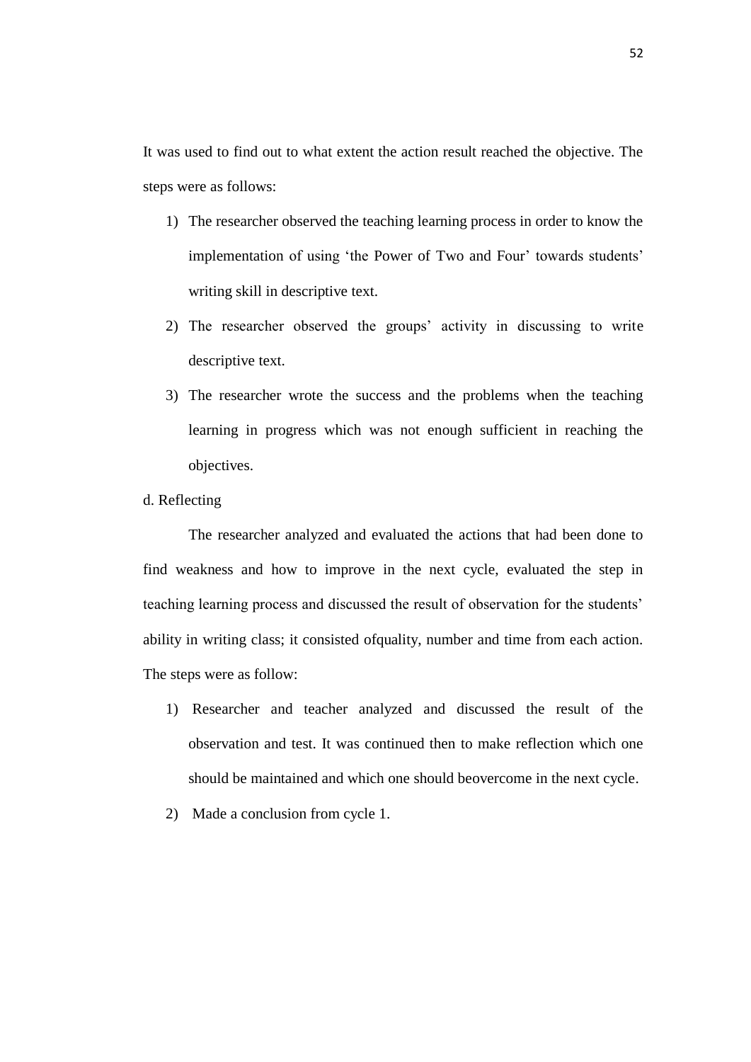It was used to find out to what extent the action result reached the objective. The steps were as follows:

- 1) The researcher observed the teaching learning process in order to know the implementation of using 'the Power of Two and Four' towards students' writing skill in descriptive text.
- 2) The researcher observed the groups' activity in discussing to write descriptive text.
- 3) The researcher wrote the success and the problems when the teaching learning in progress which was not enough sufficient in reaching the objectives.
- d. Reflecting

The researcher analyzed and evaluated the actions that had been done to find weakness and how to improve in the next cycle, evaluated the step in teaching learning process and discussed the result of observation for the students' ability in writing class; it consisted ofquality, number and time from each action. The steps were as follow:

- 1) Researcher and teacher analyzed and discussed the result of the observation and test. It was continued then to make reflection which one should be maintained and which one should beovercome in the next cycle.
- 2) Made a conclusion from cycle 1.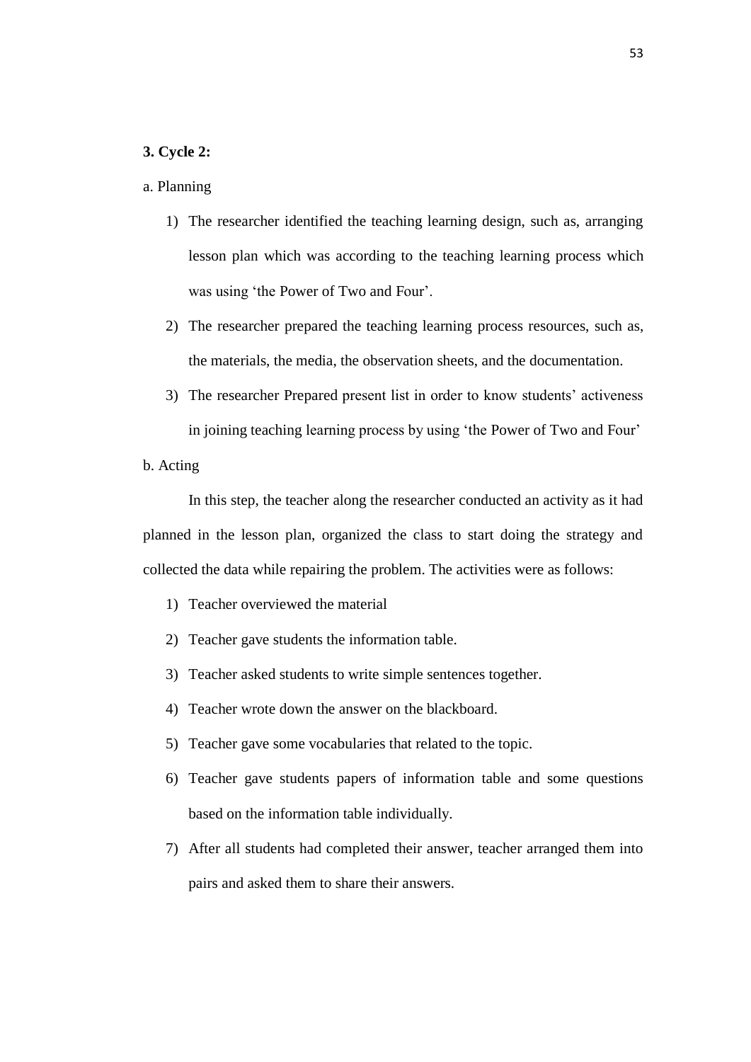# **3. Cycle 2:**

# a. Planning

- 1) The researcher identified the teaching learning design, such as, arranging lesson plan which was according to the teaching learning process which was using 'the Power of Two and Four'.
- 2) The researcher prepared the teaching learning process resources, such as, the materials, the media, the observation sheets, and the documentation.
- 3) The researcher Prepared present list in order to know students' activeness in joining teaching learning process by using 'the Power of Two and Four'
- b. Acting

In this step, the teacher along the researcher conducted an activity as it had planned in the lesson plan, organized the class to start doing the strategy and collected the data while repairing the problem. The activities were as follows:

- 1) Teacher overviewed the material
- 2) Teacher gave students the information table.
- 3) Teacher asked students to write simple sentences together.
- 4) Teacher wrote down the answer on the blackboard.
- 5) Teacher gave some vocabularies that related to the topic.
- 6) Teacher gave students papers of information table and some questions based on the information table individually.
- 7) After all students had completed their answer, teacher arranged them into pairs and asked them to share their answers.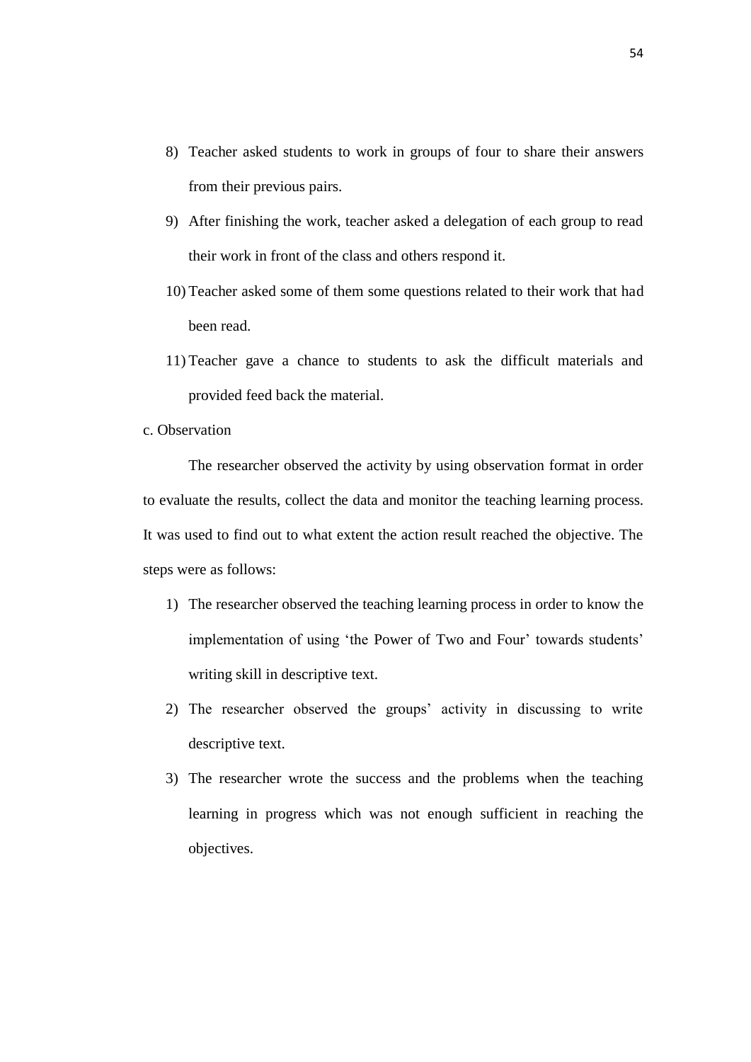- 8) Teacher asked students to work in groups of four to share their answers from their previous pairs.
- 9) After finishing the work, teacher asked a delegation of each group to read their work in front of the class and others respond it.
- 10) Teacher asked some of them some questions related to their work that had been read.
- 11) Teacher gave a chance to students to ask the difficult materials and provided feed back the material.
- c. Observation

The researcher observed the activity by using observation format in order to evaluate the results, collect the data and monitor the teaching learning process. It was used to find out to what extent the action result reached the objective. The steps were as follows:

- 1) The researcher observed the teaching learning process in order to know the implementation of using 'the Power of Two and Four' towards students' writing skill in descriptive text.
- 2) The researcher observed the groups' activity in discussing to write descriptive text.
- 3) The researcher wrote the success and the problems when the teaching learning in progress which was not enough sufficient in reaching the objectives.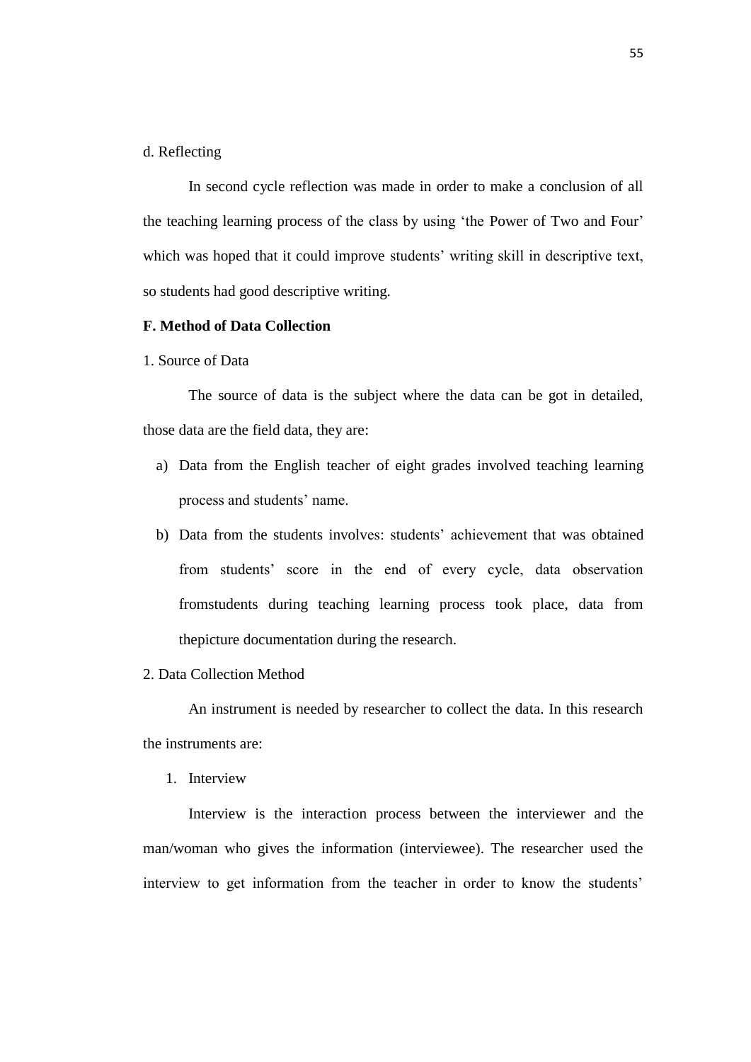# d. Reflecting

In second cycle reflection was made in order to make a conclusion of all the teaching learning process of the class by using 'the Power of Two and Four' which was hoped that it could improve students' writing skill in descriptive text, so students had good descriptive writing.

# **F. Method of Data Collection**

# 1. Source of Data

The source of data is the subject where the data can be got in detailed, those data are the field data, they are:

- a) Data from the English teacher of eight grades involved teaching learning process and students' name.
- b) Data from the students involves: students' achievement that was obtained from students' score in the end of every cycle, data observation fromstudents during teaching learning process took place, data from thepicture documentation during the research.
- 2. Data Collection Method

An instrument is needed by researcher to collect the data. In this research the instruments are:

1. Interview

Interview is the interaction process between the interviewer and the man/woman who gives the information (interviewee). The researcher used the interview to get information from the teacher in order to know the students'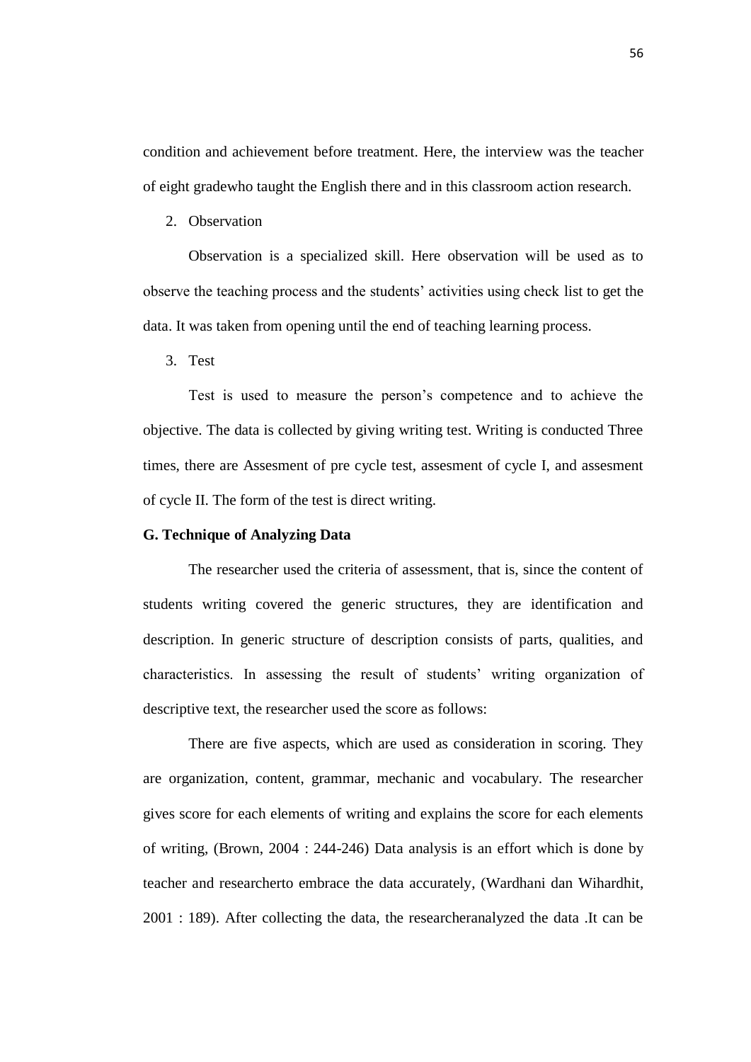condition and achievement before treatment. Here, the interview was the teacher of eight gradewho taught the English there and in this classroom action research.

2. Observation

Observation is a specialized skill. Here observation will be used as to observe the teaching process and the students' activities using check list to get the data. It was taken from opening until the end of teaching learning process.

3. Test

Test is used to measure the person's competence and to achieve the objective. The data is collected by giving writing test. Writing is conducted Three times, there are Assesment of pre cycle test, assesment of cycle I, and assesment of cycle II. The form of the test is direct writing.

### **G. Technique of Analyzing Data**

The researcher used the criteria of assessment, that is, since the content of students writing covered the generic structures, they are identification and description. In generic structure of description consists of parts, qualities, and characteristics. In assessing the result of students' writing organization of descriptive text, the researcher used the score as follows:

There are five aspects, which are used as consideration in scoring. They are organization, content, grammar, mechanic and vocabulary. The researcher gives score for each elements of writing and explains the score for each elements of writing, (Brown, 2004 : 244-246) Data analysis is an effort which is done by teacher and researcherto embrace the data accurately, (Wardhani dan Wihardhit, 2001 : 189). After collecting the data, the researcheranalyzed the data .It can be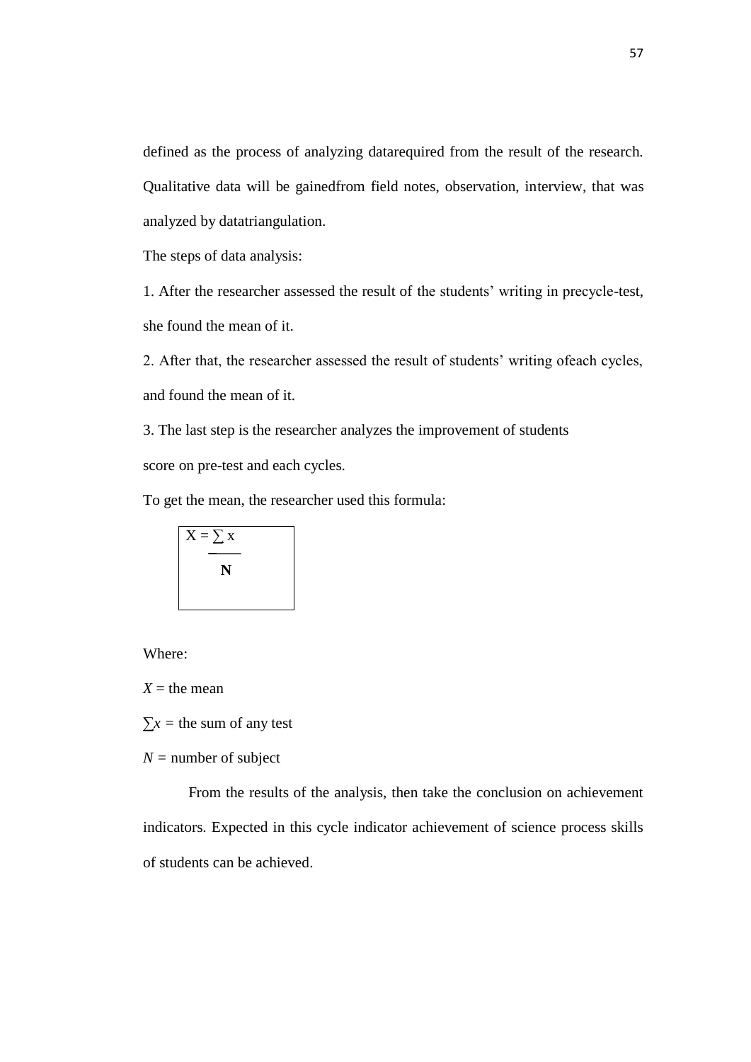defined as the process of analyzing datarequired from the result of the research. Qualitative data will be gainedfrom field notes, observation, interview, that was analyzed by datatriangulation.

The steps of data analysis:

1. After the researcher assessed the result of the students' writing in precycle-test, she found the mean of it.

2. After that, the researcher assessed the result of students' writing ofeach cycles, and found the mean of it.

3. The last step is the researcher analyzes the improvement of students score on pre-test and each cycles.

To get the mean, the researcher used this formula:

$$
X = \sum x
$$
  
N

Where:

 $X =$  the mean

 $\Sigma x =$  the sum of any test

 $N =$  number of subject

From the results of the analysis, then take the conclusion on achievement indicators. Expected in this cycle indicator achievement of science process skills of students can be achieved.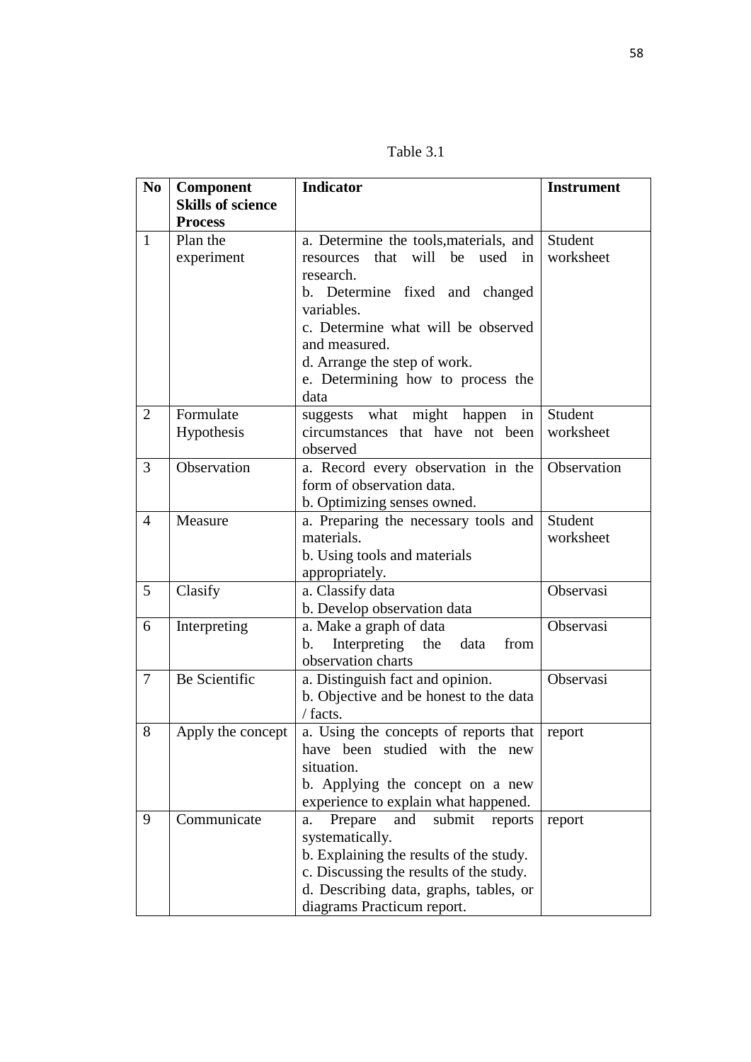Table 3.1

| N <sub>o</sub> | Component                                  | <b>Indicator</b>                                                                                                                                                                                                           | <b>Instrument</b>    |
|----------------|--------------------------------------------|----------------------------------------------------------------------------------------------------------------------------------------------------------------------------------------------------------------------------|----------------------|
|                | <b>Skills of science</b><br><b>Process</b> |                                                                                                                                                                                                                            |                      |
| $\mathbf{1}$   | Plan the<br>experiment                     | a. Determine the tools, materials, and<br>that will be<br>used<br>resources<br>in<br>research.<br>b. Determine fixed and changed<br>variables.                                                                             | Student<br>worksheet |
|                |                                            | c. Determine what will be observed<br>and measured.<br>d. Arrange the step of work.<br>e. Determining how to process the<br>data                                                                                           |                      |
| $\overline{2}$ | Formulate<br>Hypothesis                    | suggests what might happen<br>in<br>circumstances that have not been<br>observed                                                                                                                                           | Student<br>worksheet |
| 3              | Observation                                | a. Record every observation in the<br>form of observation data.<br>b. Optimizing senses owned.                                                                                                                             | Observation          |
| $\overline{4}$ | Measure                                    | a. Preparing the necessary tools and<br>materials.<br>b. Using tools and materials<br>appropriately.                                                                                                                       | Student<br>worksheet |
| 5              | Clasify                                    | a. Classify data<br>b. Develop observation data                                                                                                                                                                            | Observasi            |
| 6              | Interpreting                               | a. Make a graph of data<br>Interpreting the<br>data<br>from<br>b.<br>observation charts                                                                                                                                    | Observasi            |
| $\tau$         | Be Scientific                              | a. Distinguish fact and opinion.<br>b. Objective and be honest to the data<br>/ facts.                                                                                                                                     | Observasi            |
| 8              | Apply the concept                          | a. Using the concepts of reports that<br>have been studied with the<br>new<br>situation.<br>b. Applying the concept on a new<br>experience to explain what happened.                                                       | report               |
| 9              | Communicate                                | Prepare<br>and<br>submit<br>reports<br>a.<br>systematically.<br>b. Explaining the results of the study.<br>c. Discussing the results of the study.<br>d. Describing data, graphs, tables, or<br>diagrams Practicum report. | report               |